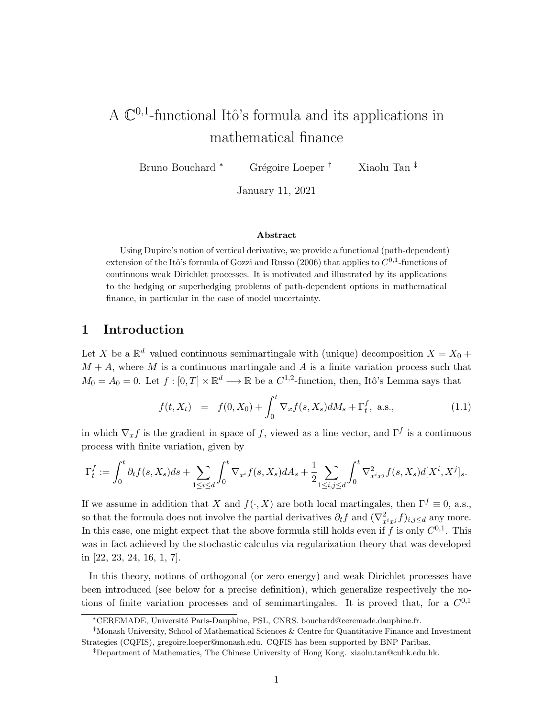# A  $\mathbb{C}^{0,1}$ -functional Itô's formula and its applications in mathematical finance

Bruno Bouchard <sup>∗</sup> Grégoire Loeper <sup>†</sup> Xiaolu Tan <sup>‡</sup>

January 11, 2021

#### Abstract

Using Dupire's notion of vertical derivative, we provide a functional (path-dependent) extension of the Itô's formula of Gozzi and Russo (2006) that applies to  $C^{0,1}$ -functions of continuous weak Dirichlet processes. It is motivated and illustrated by its applications to the hedging or superhedging problems of path-dependent options in mathematical finance, in particular in the case of model uncertainty.

## 1 Introduction

Let X be a  $\mathbb{R}^d$ -valued continuous semimartingale with (unique) decomposition  $X = X_0 +$  $M + A$ , where M is a continuous martingale and A is a finite variation process such that  $M_0 = A_0 = 0$ . Let  $f : [0, T] \times \mathbb{R}^d \longrightarrow \mathbb{R}$  be a  $C^{1,2}$ -function, then, Itô's Lemma says that

$$
f(t, X_t) = f(0, X_0) + \int_0^t \nabla_x f(s, X_s) dM_s + \Gamma_t^f, \text{ a.s.}, \qquad (1.1)
$$

in which  $\nabla_x f$  is the gradient in space of f, viewed as a line vector, and  $\Gamma^f$  is a continuous process with finite variation, given by

$$
\Gamma_t^f := \int_0^t \partial_t f(s, X_s) ds + \sum_{1 \le i \le d} \int_0^t \nabla_{x^i} f(s, X_s) dA_s + \frac{1}{2} \sum_{1 \le i, j \le d} \int_0^t \nabla_{x^i x^j}^2 f(s, X_s) d[X^i, X^j]_s.
$$

If we assume in addition that X and  $f(\cdot, X)$  are both local martingales, then  $\Gamma^f \equiv 0$ , a.s., so that the formula does not involve the partial derivatives  $\partial_t f$  and  $(\nabla^2_{x^ix^j} f)_{i,j\leq d}$  any more. In this case, one might expect that the above formula still holds even if f is only  $C^{0,1}$ . This was in fact achieved by the stochastic calculus via regularization theory that was developed in [22, 23, 24, 16, 1, 7].

In this theory, notions of orthogonal (or zero energy) and weak Dirichlet processes have been introduced (see below for a precise definition), which generalize respectively the notions of finite variation processes and of semimartingales. It is proved that, for a  $C^{0,1}$ 

<sup>∗</sup>CEREMADE, Universit´e Paris-Dauphine, PSL, CNRS. bouchard@ceremade.dauphine.fr.

<sup>†</sup>Monash University, School of Mathematical Sciences & Centre for Quantitative Finance and Investment Strategies (CQFIS), gregoire.loeper@monash.edu. CQFIS has been supported by BNP Paribas.

<sup>‡</sup>Department of Mathematics, The Chinese University of Hong Kong. xiaolu.tan@cuhk.edu.hk.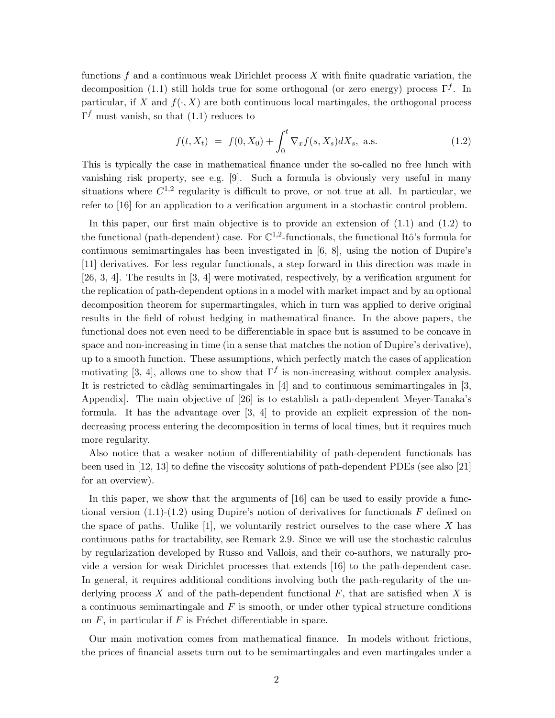functions  $f$  and a continuous weak Dirichlet process  $X$  with finite quadratic variation, the decomposition (1.1) still holds true for some orthogonal (or zero energy) process  $\Gamma^f$ . In particular, if X and  $f(\cdot, X)$  are both continuous local martingales, the orthogonal process  $\Gamma^f$  must vanish, so that (1.1) reduces to

$$
f(t, X_t) = f(0, X_0) + \int_0^t \nabla_x f(s, X_s) dX_s, \text{ a.s.}
$$
 (1.2)

This is typically the case in mathematical finance under the so-called no free lunch with vanishing risk property, see e.g. [9]. Such a formula is obviously very useful in many situations where  $C^{1,2}$  regularity is difficult to prove, or not true at all. In particular, we refer to [16] for an application to a verification argument in a stochastic control problem.

In this paper, our first main objective is to provide an extension of  $(1.1)$  and  $(1.2)$  to the functional (path-dependent) case. For  $\mathbb{C}^{1,2}$ -functionals, the functional Itô's formula for continuous semimartingales has been investigated in [6, 8], using the notion of Dupire's [11] derivatives. For less regular functionals, a step forward in this direction was made in [26, 3, 4]. The results in [3, 4] were motivated, respectively, by a verification argument for the replication of path-dependent options in a model with market impact and by an optional decomposition theorem for supermartingales, which in turn was applied to derive original results in the field of robust hedging in mathematical finance. In the above papers, the functional does not even need to be differentiable in space but is assumed to be concave in space and non-increasing in time (in a sense that matches the notion of Dupire's derivative), up to a smooth function. These assumptions, which perfectly match the cases of application motivating [3, 4], allows one to show that  $\Gamma^f$  is non-increasing without complex analysis. It is restricted to càdlàg semimartingales in  $[4]$  and to continuous semimartingales in  $[3, 3]$ Appendix]. The main objective of [26] is to establish a path-dependent Meyer-Tanaka's formula. It has the advantage over [3, 4] to provide an explicit expression of the nondecreasing process entering the decomposition in terms of local times, but it requires much more regularity.

Also notice that a weaker notion of differentiability of path-dependent functionals has been used in [12, 13] to define the viscosity solutions of path-dependent PDEs (see also [21] for an overview).

In this paper, we show that the arguments of [16] can be used to easily provide a functional version  $(1.1)-(1.2)$  using Dupire's notion of derivatives for functionals F defined on the space of paths. Unlike  $[1]$ , we voluntarily restrict ourselves to the case where X has continuous paths for tractability, see Remark 2.9. Since we will use the stochastic calculus by regularization developed by Russo and Vallois, and their co-authors, we naturally provide a version for weak Dirichlet processes that extends [16] to the path-dependent case. In general, it requires additional conditions involving both the path-regularity of the underlying process X and of the path-dependent functional  $F$ , that are satisfied when X is a continuous semimartingale and  $F$  is smooth, or under other typical structure conditions on  $F$ , in particular if  $F$  is Fréchet differentiable in space.

Our main motivation comes from mathematical finance. In models without frictions, the prices of financial assets turn out to be semimartingales and even martingales under a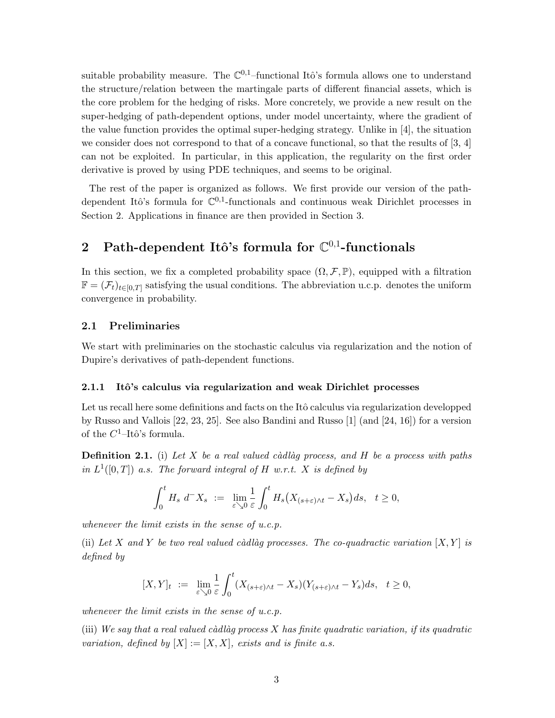suitable probability measure. The  $\mathbb{C}^{0,1}$ -functional Itô's formula allows one to understand the structure/relation between the martingale parts of different financial assets, which is the core problem for the hedging of risks. More concretely, we provide a new result on the super-hedging of path-dependent options, under model uncertainty, where the gradient of the value function provides the optimal super-hedging strategy. Unlike in [4], the situation we consider does not correspond to that of a concave functional, so that the results of [3, 4] can not be exploited. In particular, in this application, the regularity on the first order derivative is proved by using PDE techniques, and seems to be original.

The rest of the paper is organized as follows. We first provide our version of the pathdependent Itô's formula for  $\mathbb{C}^{0,1}$ -functionals and continuous weak Dirichlet processes in Section 2. Applications in finance are then provided in Section 3.

## 2 Path-dependent Itô's formula for  $\mathbb{C}^{0,1}$ -functionals

In this section, we fix a completed probability space  $(\Omega, \mathcal{F}, \mathbb{P})$ , equipped with a filtration  $\mathbb{F} = (\mathcal{F}_t)_{t \in [0,T]}$  satisfying the usual conditions. The abbreviation u.c.p. denotes the uniform convergence in probability.

### 2.1 Preliminaries

We start with preliminaries on the stochastic calculus via regularization and the notion of Dupire's derivatives of path-dependent functions.

#### 2.1.1 Itô's calculus via regularization and weak Dirichlet processes

Let us recall here some definitions and facts on the Itô calculus via regularization developped by Russo and Vallois [22, 23, 25]. See also Bandini and Russo [1] (and [24, 16]) for a version of the  $C^1$ -Itô's formula.

**Definition 2.1.** (i) Let X be a real valued càdlàg process, and H be a process with paths in  $L^1([0,T])$  a.s. The forward integral of H w.r.t. X is defined by

$$
\int_0^t H_s d^-X_s \ := \ \lim_{\varepsilon \searrow 0} \frac{1}{\varepsilon} \int_0^t H_s \big( X_{(s+\varepsilon)\wedge t} - X_s \big) ds, \quad t \ge 0,
$$

whenever the limit exists in the sense of  $u.c.p$ .

(ii) Let X and Y be two real valued càdlàg processes. The co-quadractic variation  $[X, Y]$  is defined by

$$
[X,Y]_t\ :=\ \lim_{\varepsilon\searrow 0}\frac{1}{\varepsilon}\int_0^t (X_{(s+\varepsilon)\wedge t}-X_s)(Y_{(s+\varepsilon)\wedge t}-Y_s)ds,\quad t\geq 0,
$$

whenever the limit exists in the sense of  $u.c.p$ .

(iii) We say that a real valued càdlàg process  $X$  has finite quadratic variation, if its quadratic variation, defined by  $[X] := [X, X]$ , exists and is finite a.s.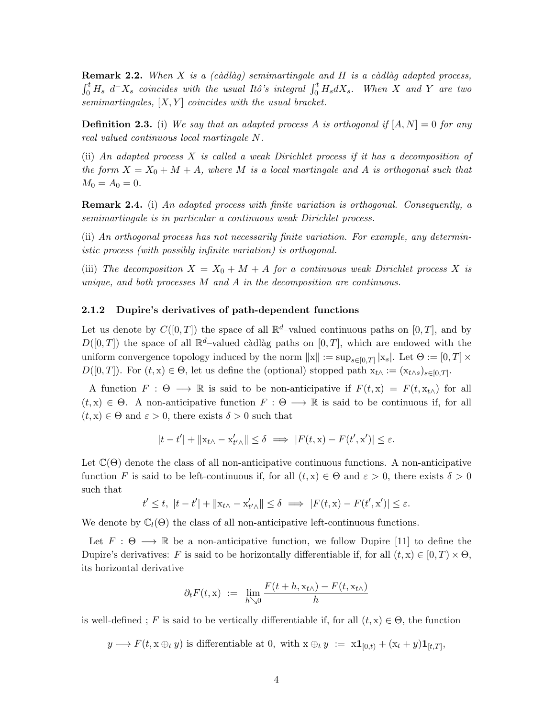**Remark 2.2.** When X is a (càdlàg) semimartingale and H is a càdlàg adapted process,  $\int_0^t H_s d^-X_s$  coincides with the usual Itô's integral  $\int_0^t H_s dX_s$ . When X and Y are two semimartingales,  $[X, Y]$  coincides with the usual bracket.

**Definition 2.3.** (i) We say that an adapted process A is orthogonal if  $[A, N] = 0$  for any real valued continuous local martingale N.

(ii) An adapted process X is called a weak Dirichlet process if it has a decomposition of the form  $X = X_0 + M + A$ , where M is a local martingale and A is orthogonal such that  $M_0 = A_0 = 0.$ 

**Remark 2.4.** (i) An adapted process with finite variation is orthogonal. Consequently, a semimartingale is in particular a continuous weak Dirichlet process.

(ii) An orthogonal process has not necessarily finite variation. For example, any deterministic process (with possibly infinite variation) is orthogonal.

(iii) The decomposition  $X = X_0 + M + A$  for a continuous weak Dirichlet process X is unique, and both processes  $M$  and  $\overline{A}$  in the decomposition are continuous.

#### 2.1.2 Dupire's derivatives of path-dependent functions

Let us denote by  $C([0,T])$  the space of all  $\mathbb{R}^d$ -valued continuous paths on  $[0,T]$ , and by  $D([0,T])$  the space of all  $\mathbb{R}^d$ -valued càdlàg paths on  $[0,T]$ , which are endowed with the uniform convergence topology induced by the norm  $||x|| := \sup_{s \in [0,T]} |x_s|$ . Let  $\Theta := [0,T] \times$  $D([0,T])$ . For  $(t, x) \in \Theta$ , let us define the (optional) stopped path  $x_{t} \wedge := (x_{t} \wedge s)_{s \in [0,T]}$ .

A function  $F : \Theta \longrightarrow \mathbb{R}$  is said to be non-anticipative if  $F(t, x) = F(t, x_{t \wedge})$  for all  $(t, x) \in \Theta$ . A non-anticipative function  $F : \Theta \longrightarrow \mathbb{R}$  is said to be continuous if, for all  $(t, x) \in \Theta$  and  $\varepsilon > 0$ , there exists  $\delta > 0$  such that

$$
|t-t'| + \|x_{t\wedge} - x'_{t'\wedge}\| \le \delta \implies |F(t,x) - F(t',x')| \le \varepsilon.
$$

Let  $\mathbb{C}(\Theta)$  denote the class of all non-anticipative continuous functions. A non-anticipative function F is said to be left-continuous if, for all  $(t, x) \in \Theta$  and  $\varepsilon > 0$ , there exists  $\delta > 0$ such that

$$
t' \leq t, \ |t - t'| + \|x_{t\wedge} - x'_{t'\wedge}\| \leq \delta \implies |F(t, x) - F(t', x')| \leq \varepsilon.
$$

We denote by  $\mathbb{C}_l(\Theta)$  the class of all non-anticipative left-continuous functions.

Let  $F : \Theta \longrightarrow \mathbb{R}$  be a non-anticipative function, we follow Dupire [11] to define the Dupire's derivatives: F is said to be horizontally differentiable if, for all  $(t, x) \in [0, T) \times \Theta$ . its horizontal derivative

$$
\partial_t F(t, \mathbf{x}) \ := \ \lim_{h \searrow 0} \frac{F(t + h, \mathbf{x}_{t \wedge}) - F(t, \mathbf{x}_{t \wedge})}{h}
$$

is well-defined ; F is said to be vertically differentiable if, for all  $(t, x) \in \Theta$ , the function

 $y \mapsto F(t, x \oplus_t y)$  is differentiable at 0, with  $x \oplus_t y := x \mathbf{1}_{[0,t)} + (x_t + y)\mathbf{1}_{[t,T]},$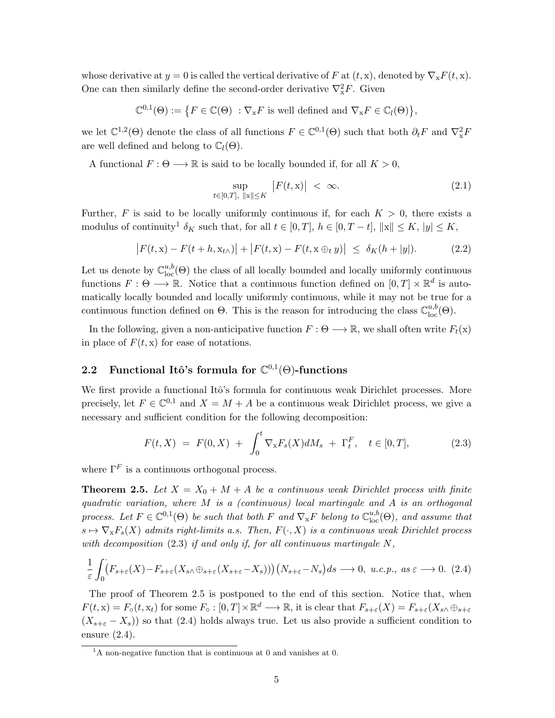whose derivative at  $y = 0$  is called the vertical derivative of F at  $(t, x)$ , denoted by  $\nabla_x F(t, x)$ . One can then similarly define the second-order derivative  $\nabla_{\mathbf{x}}^2 F$ . Given

$$
\mathbb{C}^{0,1}(\Theta) := \big\{ F \in \mathbb{C}(\Theta) \ : \nabla_{\mathbf{x}} F \text{ is well defined and } \nabla_{\mathbf{x}} F \in \mathbb{C}_l(\Theta) \big\},
$$

we let  $\mathbb{C}^{1,2}(\Theta)$  denote the class of all functions  $F \in \mathbb{C}^{0,1}(\Theta)$  such that both  $\partial_t F$  and  $\nabla_x^2 F$ are well defined and belong to  $\mathbb{C}_l(\Theta)$ .

A functional  $F: \Theta \longrightarrow \mathbb{R}$  is said to be locally bounded if, for all  $K > 0$ ,

$$
\sup_{t \in [0,T], \|\mathbf{x}\| \le K} |F(t,\mathbf{x})| < \infty. \tag{2.1}
$$

Further, F is said to be locally uniformly continuous if, for each  $K > 0$ , there exists a modulus of continuity<sup>1</sup>  $\delta_K$  such that, for all  $t \in [0, T]$ ,  $h \in [0, T - t]$ ,  $\|x\| \leq K$ ,  $|y| \leq K$ ,

$$
\left| F(t, x) - F(t + h, x_{t\wedge}) \right| + \left| F(t, x) - F(t, x \oplus_t y) \right| \leq \delta_K(h + |y|). \tag{2.2}
$$

Let us denote by  $\mathbb{C}^{u,b}_{loc}(\Theta)$  the class of all locally bounded and locally uniformly continuous functions  $F: \Theta \longrightarrow \mathbb{R}$ . Notice that a continuous function defined on  $[0, T] \times \mathbb{R}^d$  is automatically locally bounded and locally uniformly continuous, while it may not be true for a continuous function defined on  $\Theta$ . This is the reason for introducing the class  $\mathbb{C}^{u,b}_{loc}(\Theta)$ .

In the following, given a non-anticipative function  $F: \Theta \longrightarrow \mathbb{R}$ , we shall often write  $F_t(x)$ in place of  $F(t, x)$  for ease of notations.

## 2.2 Functional Itô's formula for  $\mathbb{C}^{0,1}(\Theta)$ -functions

We first provide a functional Itô's formula for continuous weak Dirichlet processes. More precisely, let  $F \in \mathbb{C}^{0,1}$  and  $X = M + A$  be a continuous weak Dirichlet process, we give a necessary and sufficient condition for the following decomposition:

$$
F(t, X) = F(0, X) + \int_0^t \nabla_x F_s(X) dM_s + \Gamma_t^F, \quad t \in [0, T], \tag{2.3}
$$

where  $\Gamma^F$  is a continuous orthogonal process.

**Theorem 2.5.** Let  $X = X_0 + M + A$  be a continuous weak Dirichlet process with finite quadratic variation, where M is a (continuous) local martingale and A is an orthogonal process. Let  $F \in \mathbb{C}^{0,1}(\Theta)$  be such that both F and  $\nabla_{\mathbf{x}} F$  belong to  $\mathbb{C}^{u,b}_{\text{loc}}(\Theta)$ , and assume that  $s \mapsto \nabla_{\mathbf{x}} F_s(X)$  admits right-limits a.s. Then,  $F(\cdot, X)$  is a continuous weak Dirichlet process with decomposition  $(2.3)$  if and only if, for all continuous martingale N,

$$
\frac{1}{\varepsilon} \int_0^{\cdot} (F_{s+\varepsilon}(X) - F_{s+\varepsilon}(X_{s\wedge} \oplus_{s+\varepsilon} (X_{s+\varepsilon} - X_s))) (N_{s+\varepsilon} - N_s) ds \longrightarrow 0, \ u.c.p., \ as \ \varepsilon \longrightarrow 0. \tag{2.4}
$$

The proof of Theorem 2.5 is postponed to the end of this section. Notice that, when  $F(t, x) = F_o(t, x_t)$  for some  $F_o: [0, T] \times \mathbb{R}^d \longrightarrow \mathbb{R}$ , it is clear that  $F_{s+\varepsilon}(X) = F_{s+\varepsilon}(X_{s} \wedge \oplus_{s+\varepsilon} I)$  $(X_{s+\varepsilon}-X_s)$  so that (2.4) holds always true. Let us also provide a sufficient condition to ensure (2.4).

 $\overline{1_A}$  non-negative function that is continuous at 0 and vanishes at 0.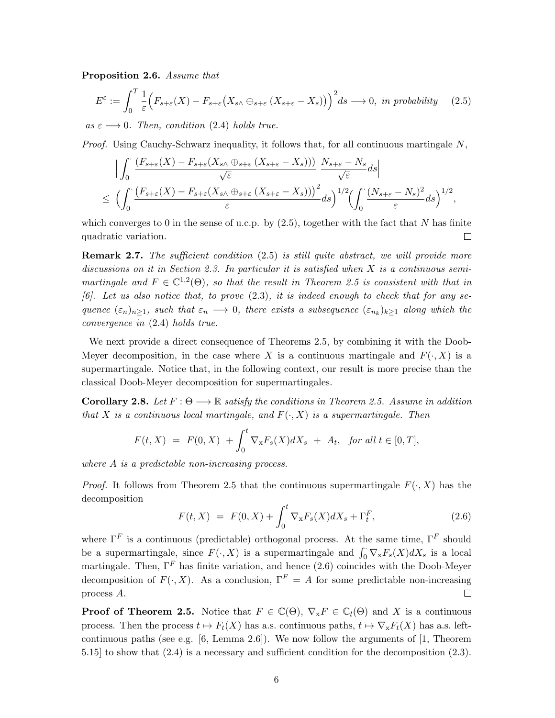Proposition 2.6. Assume that

$$
E^{\varepsilon} := \int_0^T \frac{1}{\varepsilon} \Big( F_{s+\varepsilon}(X) - F_{s+\varepsilon} \big( X_{s\wedge} \oplus_{s+\varepsilon} (X_{s+\varepsilon} - X_s) \big) \Big)^2 ds \longrightarrow 0, \text{ in probability} \quad (2.5)
$$

as  $\varepsilon \longrightarrow 0$ . Then, condition (2.4) holds true.

Proof. Using Cauchy-Schwarz inequality, it follows that, for all continuous martingale N,

$$
\begin{split} & \Big| \int_0^\cdot \frac{\left( F_{s+\varepsilon}(X) - F_{s+\varepsilon}(X_{s\wedge} \oplus_{s+\varepsilon} (X_{s+\varepsilon} - X_s)) \right)}{\sqrt{\varepsilon}} \frac{N_{s+\varepsilon} - N_s}{\sqrt{\varepsilon}} ds \Big| \\ &\leq \Big( \int_0^\cdot \frac{\left( F_{s+\varepsilon}(X) - F_{s+\varepsilon}(X_{s\wedge} \oplus_{s+\varepsilon} (X_{s+\varepsilon} - X_s)) \right)^2}{\varepsilon} ds \Big)^{1/2} \Big( \int_0^\cdot \frac{(N_{s+\varepsilon} - N_s)^2}{\varepsilon} ds \Big)^{1/2}, \end{split}
$$

which converges to 0 in the sense of u.c.p. by  $(2.5)$ , together with the fact that N has finite quadratic variation.  $\Box$ 

**Remark 2.7.** The sufficient condition (2.5) is still quite abstract, we will provide more discussions on it in Section 2.3. In particular it is satisfied when X is a continuous semimartingale and  $F \in \mathbb{C}^{1,2}(\Theta)$ , so that the result in Theorem 2.5 is consistent with that in  $[6]$ . Let us also notice that, to prove  $(2.3)$ , it is indeed enough to check that for any sequence  $(\varepsilon_n)_{n\geq 1}$ , such that  $\varepsilon_n \longrightarrow 0$ , there exists a subsequence  $(\varepsilon_{n_k})_{k\geq 1}$  along which the convergence in (2.4) holds true.

We next provide a direct consequence of Theorems 2.5, by combining it with the Doob-Meyer decomposition, in the case where X is a continuous martingale and  $F(\cdot, X)$  is a supermartingale. Notice that, in the following context, our result is more precise than the classical Doob-Meyer decomposition for supermartingales.

**Corollary 2.8.** Let  $F: \Theta \longrightarrow \mathbb{R}$  satisfy the conditions in Theorem 2.5. Assume in addition that X is a continuous local martingale, and  $F(\cdot, X)$  is a supermartingale. Then

$$
F(t, X) = F(0, X) + \int_0^t \nabla_x F_s(X) dX_s + A_t, \text{ for all } t \in [0, T],
$$

where A is a predictable non-increasing process.

*Proof.* It follows from Theorem 2.5 that the continuous supermartingale  $F(\cdot, X)$  has the decomposition

$$
F(t, X) = F(0, X) + \int_0^t \nabla_x F_s(X) dX_s + \Gamma_t^F,
$$
\n(2.6)

where  $\Gamma^F$  is a continuous (predictable) orthogonal process. At the same time,  $\Gamma^F$  should be a supermartingale, since  $F(\cdot, X)$  is a supermartingale and  $\int_0^{\cdot} \nabla_x F_s(X) dX_s$  is a local martingale. Then,  $\Gamma^F$  has finite variation, and hence (2.6) coincides with the Doob-Meyer decomposition of  $F(\cdot, X)$ . As a conclusion,  $\Gamma^F = A$  for some predictable non-increasing process A.  $\Box$ 

**Proof of Theorem 2.5.** Notice that  $F \in \mathbb{C}(\Theta)$ ,  $\nabla_x F \in \mathbb{C}_l(\Theta)$  and X is a continuous process. Then the process  $t \mapsto F_t(X)$  has a.s. continuous paths,  $t \mapsto \nabla_x F_t(X)$  has a.s. leftcontinuous paths (see e.g. [6, Lemma 2.6]). We now follow the arguments of  $[1,$  Theorem 5.15] to show that (2.4) is a necessary and sufficient condition for the decomposition (2.3).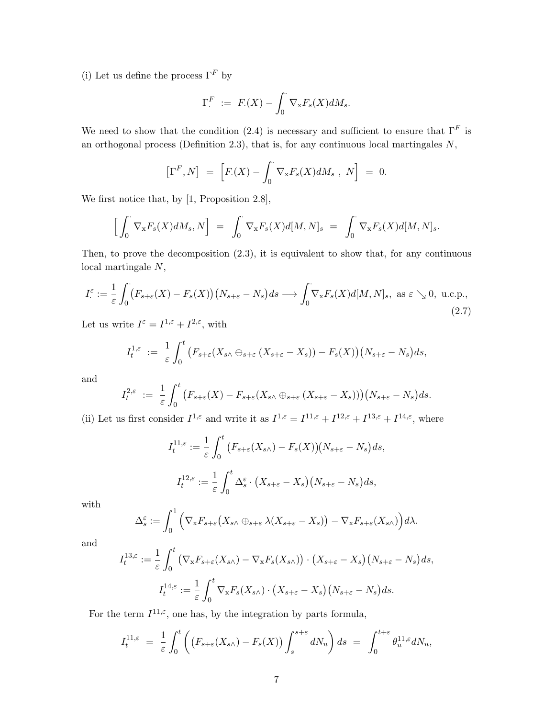(i) Let us define the process  $\Gamma^F$  by

$$
\Gamma^F = F(X) - \int_0^{\cdot} \nabla_{\mathbf{x}} F_s(X) dM_s.
$$

We need to show that the condition (2.4) is necessary and sufficient to ensure that  $\Gamma^F$  is an orthogonal process (Definition 2.3), that is, for any continuous local martingales  $N$ ,

$$
\left[\Gamma^F,N\right] = \left[F(X) - \int_0^{\cdot} \nabla_{\mathbf{x}} F_s(X) dM_s, N\right] = 0.
$$

We first notice that, by [1, Proposition 2.8],

$$
\left[\int_0^{\cdot} \nabla_{\mathbf{x}} F_s(X) dM_s, N\right] = \int_0^{\cdot} \nabla_{\mathbf{x}} F_s(X) d[M, N]_s = \int_0^{\cdot} \nabla_{\mathbf{x}} F_s(X) d[M, N]_s.
$$

Then, to prove the decomposition (2.3), it is equivalent to show that, for any continuous local martingale N,

$$
I_{\cdot}^{\varepsilon} := \frac{1}{\varepsilon} \int_0^{\cdot} (F_{s+\varepsilon}(X) - F_s(X)) \left( N_{s+\varepsilon} - N_s \right) ds \longrightarrow \int_0^{\cdot} \nabla_x F_s(X) d[M, N]_s, \text{ as } \varepsilon \searrow 0, \text{ u.c.p.,}
$$
\n(2.7)

Let us write  $I^{\varepsilon} = I^{1,\varepsilon} + I^{2,\varepsilon}$ , with

$$
I_t^{1,\varepsilon} := \frac{1}{\varepsilon} \int_0^t \left( F_{s+\varepsilon}(X_{s\wedge} \oplus_{s+\varepsilon} (X_{s+\varepsilon} - X_s)) - F_s(X) \right) \left( N_{s+\varepsilon} - N_s \right) ds,
$$

and

$$
I_t^{2,\varepsilon} := \frac{1}{\varepsilon} \int_0^t \big( F_{s+\varepsilon}(X) - F_{s+\varepsilon}(X_{s\wedge} \oplus_{s+\varepsilon} (X_{s+\varepsilon} - X_s)) \big) \big( N_{s+\varepsilon} - N_s \big) ds.
$$

(ii) Let us first consider  $I^{1,\varepsilon}$  and write it as  $I^{1,\varepsilon} = I^{11,\varepsilon} + I^{12,\varepsilon} + I^{13,\varepsilon} + I^{14,\varepsilon}$ , where

$$
I_t^{11,\varepsilon} := \frac{1}{\varepsilon} \int_0^t \big( F_{s+\varepsilon}(X_{s\wedge}) - F_s(X) \big) \big( N_{s+\varepsilon} - N_s \big) ds,
$$
  

$$
I_t^{12,\varepsilon} := \frac{1}{\varepsilon} \int_0^t \Delta_s^\varepsilon \cdot \big( X_{s+\varepsilon} - X_s \big) \big( N_{s+\varepsilon} - N_s \big) ds,
$$

with

$$
\Delta_s^{\varepsilon} := \int_0^1 \left( \nabla_{\mathbf{x}} F_{s+\varepsilon} \big( X_{s\wedge} \oplus_{s+\varepsilon} \lambda (X_{s+\varepsilon} - X_s) \big) - \nabla_{\mathbf{x}} F_{s+\varepsilon} (X_{s\wedge}) \right) d\lambda.
$$

and

$$
I_t^{13,\varepsilon} := \frac{1}{\varepsilon} \int_0^t \left( \nabla_x F_{s+\varepsilon}(X_{s\wedge}) - \nabla_x F_s(X_{s\wedge}) \right) \cdot (X_{s+\varepsilon} - X_s) \left( N_{s+\varepsilon} - N_s \right) ds,
$$
  

$$
I_t^{14,\varepsilon} := \frac{1}{\varepsilon} \int_0^t \nabla_x F_s(X_{s\wedge}) \cdot (X_{s+\varepsilon} - X_s) \left( N_{s+\varepsilon} - N_s \right) ds.
$$

For the term  $I^{11,\varepsilon}$ , one has, by the integration by parts formula,

$$
I_t^{11,\varepsilon} = \frac{1}{\varepsilon} \int_0^t \left( \left( F_{s+\varepsilon}(X_{s\wedge}) - F_s(X) \right) \int_s^{s+\varepsilon} dN_u \right) ds = \int_0^{t+\varepsilon} \theta_u^{11,\varepsilon} dN_u,
$$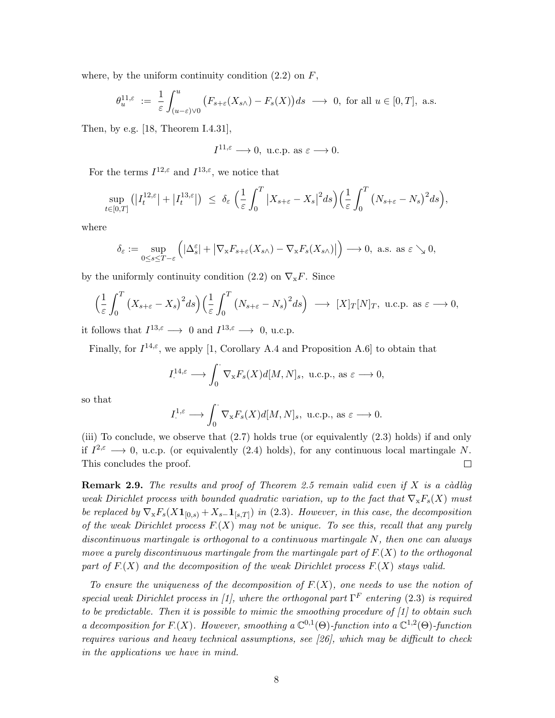where, by the uniform continuity condition  $(2.2)$  on F,

$$
\theta^{11,\varepsilon}_u \ := \ \frac{1}{\varepsilon} \int_{(u-\varepsilon)\vee 0}^u \big(F_{s+\varepsilon}(X_{s\wedge}) - F_s(X)\big) ds \ \longrightarrow \ 0, \text{ for all } u \in [0,T], \text{ a.s.}
$$

Then, by e.g. [18, Theorem I.4.31],

$$
I^{11,\varepsilon} \longrightarrow 0
$$
, u.c.p. as  $\varepsilon \longrightarrow 0$ .

For the terms  $I^{12,\varepsilon}$  and  $I^{13,\varepsilon}$ , we notice that

$$
\sup_{t\in[0,T]}(|I_t^{12,\varepsilon}|+|I_t^{13,\varepsilon}|)\;\leq\;\delta_{\varepsilon}\;\Big(\frac{1}{\varepsilon}\int_0^T\big|X_{s+\varepsilon}-X_s\big|^2ds\Big)\Big(\frac{1}{\varepsilon}\int_0^T\big(N_{s+\varepsilon}-N_s\big)^2ds\Big),
$$

where

$$
\delta_{\varepsilon} := \sup_{0 \le s \le T - \varepsilon} \left( |\Delta_s^{\varepsilon}| + |\nabla_x F_{s+\varepsilon}(X_{s\wedge}) - \nabla_x F_s(X_{s\wedge})| \right) \longrightarrow 0, \text{ a.s. as } \varepsilon \searrow 0,
$$

by the uniformly continuity condition (2.2) on  $\nabla_{\mathbf{x}} F$ . Since

$$
\left(\frac{1}{\varepsilon}\int_0^T \left(X_{s+\varepsilon} - X_s\right)^2 ds\right) \left(\frac{1}{\varepsilon}\int_0^T \left(N_{s+\varepsilon} - N_s\right)^2 ds\right) \longrightarrow [X]_T[N]_T, \text{ u.c.p. as } \varepsilon \longrightarrow 0,
$$

it follows that  $I^{13,\varepsilon} \longrightarrow 0$  and  $I^{13,\varepsilon} \longrightarrow 0$ , u.c.p.

Finally, for  $I^{14,\varepsilon}$ , we apply [1, Corollary A.4 and Proposition A.6] to obtain that

$$
I^{14,\varepsilon}_{\cdot} \longrightarrow \int_0^{\cdot} \nabla_{\mathbf{x}} F_s(X) d[M, N]_s, \text{ u.c.p., as } \varepsilon \longrightarrow 0,
$$

so that

$$
I^{1,\varepsilon}_{\cdot} \longrightarrow \int_0^{\cdot} \nabla_{\mathbf{x}} F_s(X) d[M, N]_s, \text{ u.c.p., as } \varepsilon \longrightarrow 0.
$$

(iii) To conclude, we observe that (2.7) holds true (or equivalently (2.3) holds) if and only if  $I^{2,\epsilon} \longrightarrow 0$ , u.c.p. (or equivalently (2.4) holds), for any continuous local martingale N. This concludes the proof.  $\Box$ 

**Remark 2.9.** The results and proof of Theorem 2.5 remain valid even if X is a càdlàg weak Dirichlet process with bounded quadratic variation, up to the fact that  $\nabla_{\bf x} F_s(X)$  must be replaced by  $\nabla_{\mathbf{x}} F_s(X\mathbf{1}_{[0,s)} + X_{s-} \mathbf{1}_{[s,T]})$  in (2.3). However, in this case, the decomposition of the weak Dirichlet process  $F(X)$  may not be unique. To see this, recall that any purely discontinuous martingale is orthogonal to a continuous martingale N, then one can always move a purely discontinuous martingale from the martingale part of  $F(X)$  to the orthogonal part of  $F(X)$  and the decomposition of the weak Dirichlet process  $F(X)$  stays valid.

To ensure the uniqueness of the decomposition of  $F(X)$ , one needs to use the notion of special weak Dirichlet process in [1], where the orthogonal part  $\Gamma^F$  entering (2.3) is required to be predictable. Then it is possible to mimic the smoothing procedure of  $\left[1\right]$  to obtain such a decomposition for F.(X). However, smoothing a  $\mathbb{C}^{0,1}(\Theta)$ -function into a  $\mathbb{C}^{1,2}(\Theta)$ -function requires various and heavy technical assumptions, see [26], which may be difficult to check in the applications we have in mind.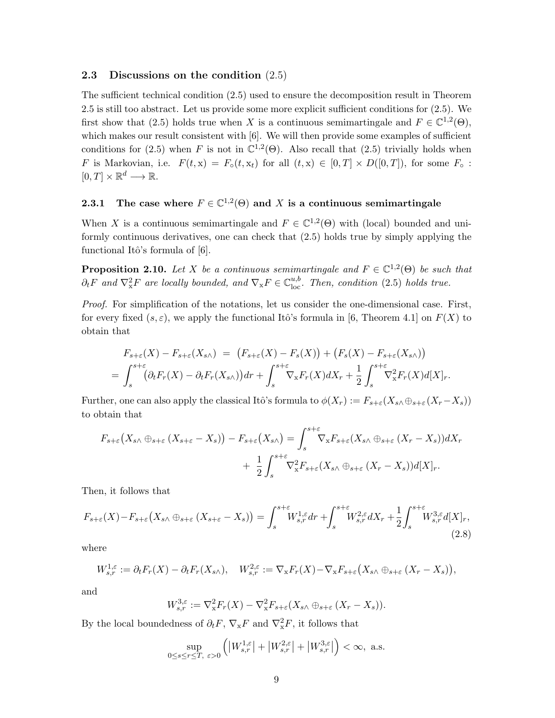#### 2.3 Discussions on the condition (2.5)

The sufficient technical condition (2.5) used to ensure the decomposition result in Theorem 2.5 is still too abstract. Let us provide some more explicit sufficient conditions for (2.5). We first show that (2.5) holds true when X is a continuous semimartingale and  $F \in \mathbb{C}^{1,2}(\Theta)$ , which makes our result consistent with [6]. We will then provide some examples of sufficient conditions for (2.5) when F is not in  $\mathbb{C}^{1,2}(\Theta)$ . Also recall that (2.5) trivially holds when F is Markovian, i.e.  $F(t, x) = F_o(t, x_t)$  for all  $(t, x) \in [0, T] \times D([0, T])$ , for some  $F_o$ :  $[0, T] \times \mathbb{R}^d \longrightarrow \mathbb{R}.$ 

## **2.3.1** The case where  $F \in \mathbb{C}^{1,2}(\Theta)$  and X is a continuous semimartingale

When X is a continuous semimartingale and  $F \in \mathbb{C}^{1,2}(\Theta)$  with (local) bounded and uniformly continuous derivatives, one can check that (2.5) holds true by simply applying the functional Itô's formula of  $[6]$ .

**Proposition 2.10.** Let X be a continuous semimartingale and  $F \in \mathbb{C}^{1,2}(\Theta)$  be such that  $\partial_t F$  and  $\nabla^2_x F$  are locally bounded, and  $\nabla_x F \in \mathbb{C}^{u,b}_{loc}$ . Then, condition (2.5) holds true.

Proof. For simplification of the notations, let us consider the one-dimensional case. First, for every fixed  $(s, \varepsilon)$ , we apply the functional Itô's formula in [6, Theorem 4.1] on  $F(X)$  to obtain that

$$
F_{s+\varepsilon}(X) - F_{s+\varepsilon}(X_{s\wedge}) = (F_{s+\varepsilon}(X) - F_s(X)) + (F_s(X) - F_{s+\varepsilon}(X_{s\wedge}))
$$
  
= 
$$
\int_s^{s+\varepsilon} (\partial_t F_r(X) - \partial_t F_r(X_{s\wedge})) dr + \int_s^{s+\varepsilon} \nabla_x F_r(X) dX_r + \frac{1}{2} \int_s^{s+\varepsilon} \nabla_x^2 F_r(X) d[X]_r.
$$

Further, one can also apply the classical Itô's formula to  $\phi(X_r) := F_{s+\varepsilon}(X_{s\wedge \theta s+\varepsilon}(X_r-X_s))$ to obtain that

$$
F_{s+\varepsilon}\big(X_{s\wedge}\oplus_{s+\varepsilon}(X_{s+\varepsilon}-X_s)\big)-F_{s+\varepsilon}\big(X_{s\wedge}\big)=\int_s^{s+\varepsilon}\nabla_x F_{s+\varepsilon}(X_{s\wedge}\oplus_{s+\varepsilon}(X_r-X_s))dX_r+\frac{1}{2}\int_s^{s+\varepsilon}\nabla_x^2 F_{s+\varepsilon}(X_{s\wedge}\oplus_{s+\varepsilon}(X_r-X_s))d[X]_r.
$$

Then, it follows that

$$
F_{s+\varepsilon}(X) - F_{s+\varepsilon}\left(X_{s\wedge}\oplus_{s+\varepsilon}(X_{s+\varepsilon}-X_s)\right) = \int_s^{s+\varepsilon} W_{s,r}^{1,\varepsilon} dr + \int_s^{s+\varepsilon} W_{s,r}^{2,\varepsilon} dX_r + \frac{1}{2} \int_s^{s+\varepsilon} W_{s,r}^{3,\varepsilon} d[X]_r,
$$
\n(2.8)

where

$$
W^{1,\varepsilon}_{s,r} := \partial_t F_r(X) - \partial_t F_r(X_{s\wedge}), \quad W^{2,\varepsilon}_{s,r} := \nabla_x F_r(X) - \nabla_x F_{s+\varepsilon}(X_{s\wedge} \oplus_{s+\varepsilon} (X_r - X_s)),
$$

and

$$
W^{3,\varepsilon}_{s,r} := \nabla^2_x F_r(X) - \nabla^2_x F_{s+\varepsilon}(X_{s\wedge} \oplus_{s+\varepsilon} (X_r - X_s)).
$$

By the local boundedness of  $\partial_t F$ ,  $\nabla_x F$  and  $\nabla_x^2 F$ , it follows that

$$
\sup_{0\le s\le r\le T,\ \varepsilon>0}\left(\left|W^{1,\varepsilon}_{s,r}\right|+\left|W^{2,\varepsilon}_{s,r}\right|+\left|W^{3,\varepsilon}_{s,r}\right|\right)<\infty,\ \mathrm{a.s.}
$$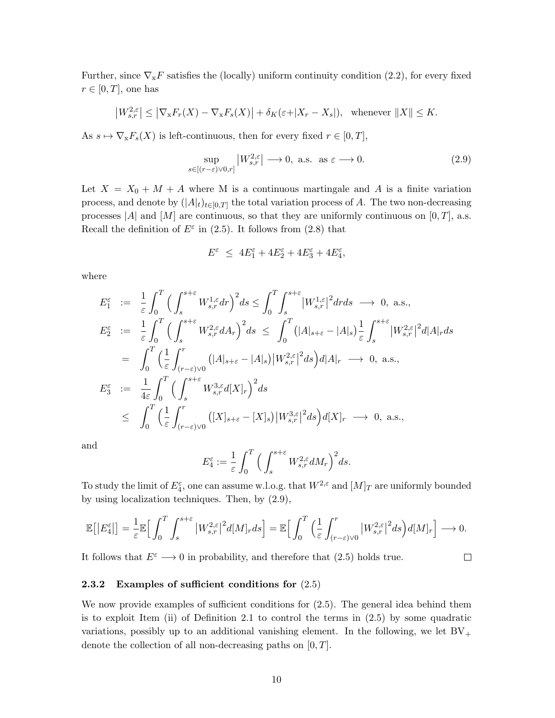Further, since  $\nabla_{\mathbf{x}}F$  satisfies the (locally) uniform continuity condition (2.2), for every fixed  $r \in [0, T]$ , one has

$$
\left|W_{s,r}^{2,\varepsilon}\right| \leq \left|\nabla_{\mathbf{x}}F_r(X) - \nabla_{\mathbf{x}}F_s(X)\right| + \delta_K(\varepsilon + |X_r - X_s|), \quad \text{whenever } \|X\| \leq K.
$$

As  $s \mapsto \nabla_{\mathbf{x}} F_s(X)$  is left-continuous, then for every fixed  $r \in [0, T]$ ,

$$
\sup_{s \in [(r-\varepsilon)\vee 0,r]} |W^{2,\varepsilon}_{s,r}| \longrightarrow 0, \text{ a.s. as } \varepsilon \longrightarrow 0.
$$
 (2.9)

Let  $X = X_0 + M + A$  where M is a continuous martingale and A is a finite variation process, and denote by  $(|A|_t)_{t\in[0,T]}$  the total variation process of A. The two non-decreasing processes |A| and  $[M]$  are continuous, so that they are uniformly continuous on  $[0, T]$ , a.s. Recall the definition of  $E^{\varepsilon}$  in (2.5). It follows from (2.8) that

$$
E^{\varepsilon} \ \leq \ 4 E^{\varepsilon}_1 + 4 E^{\varepsilon}_2 + 4 E^{\varepsilon}_3 + 4 E^{\varepsilon}_4,
$$

where

$$
E_1^{\varepsilon} := \frac{1}{\varepsilon} \int_0^T \Big( \int_s^{s+\varepsilon} W_{s,r}^{1,\varepsilon} dr \Big)^2 ds \le \int_0^T \int_s^{s+\varepsilon} |W_{s,r}^{1,\varepsilon}|^2 dr ds \longrightarrow 0, \text{ a.s.},
$$
  
\n
$$
E_2^{\varepsilon} := \frac{1}{\varepsilon} \int_0^T \Big( \int_s^{s+\varepsilon} W_{s,r}^{2,\varepsilon} dA_r \Big)^2 ds \le \int_0^T (|A|_{s+\varepsilon} - |A|_s) \frac{1}{\varepsilon} \int_s^{s+\varepsilon} |W_{s,r}^{2,\varepsilon}|^2 d|A|_r ds
$$
  
\n
$$
= \int_0^T \Big( \frac{1}{\varepsilon} \int_{(r-\varepsilon)\vee 0}^r (|A|_{s+\varepsilon} - |A|_s) |W_{s,r}^{2,\varepsilon}|^2 ds \Big) d|A|_r \longrightarrow 0, \text{ a.s.},
$$
  
\n
$$
E_3^{\varepsilon} := \frac{1}{4\varepsilon} \int_0^T \Big( \int_s^{s+\varepsilon} W_{s,r}^{3,\varepsilon} d[X]_r \Big)^2 ds
$$
  
\n
$$
\le \int_0^T \Big( \frac{1}{\varepsilon} \int_{(r-\varepsilon)\vee 0}^r (|X|_{s+\varepsilon} - [X]_s) |W_{s,r}^{3,\varepsilon}|^2 ds \Big) d[X]_r \longrightarrow 0, \text{ a.s.},
$$

and

$$
E_4^{\varepsilon} := \frac{1}{\varepsilon} \int_0^T \Big( \int_s^{s+\varepsilon} W_{s,r}^{2,\varepsilon} dM_r \Big)^2 ds.
$$

To study the limit of  $E_4^{\varepsilon}$ , one can assume w.l.o.g. that  $W^{2,\varepsilon}$  and  $[M]_T$  are uniformly bounded by using localization techniques. Then, by (2.9),

$$
\mathbb{E}\big[\big|E_4^{\varepsilon}\big|\big] = \frac{1}{\varepsilon} \mathbb{E}\Big[\int_0^T\int_s^{s+\varepsilon} \big|W_{s,r}^{2,\varepsilon}\big|^2 d[M]_r ds\Big] = \mathbb{E}\Big[\int_0^T\Big(\frac{1}{\varepsilon}\int_{(r-\varepsilon)\vee 0}^r \big|W_{s,r}^{2,\varepsilon}\big|^2 ds\Big) d[M]_r\Big] \longrightarrow 0.
$$

It follows that  $E^{\varepsilon} \longrightarrow 0$  in probability, and therefore that (2.5) holds true.

 $\Box$ 

#### 2.3.2 Examples of sufficient conditions for  $(2.5)$

We now provide examples of sufficient conditions for (2.5). The general idea behind them is to exploit Item (ii) of Definition 2.1 to control the terms in (2.5) by some quadratic variations, possibly up to an additional vanishing element. In the following, we let  $BV_+$ denote the collection of all non-decreasing paths on  $[0, T]$ .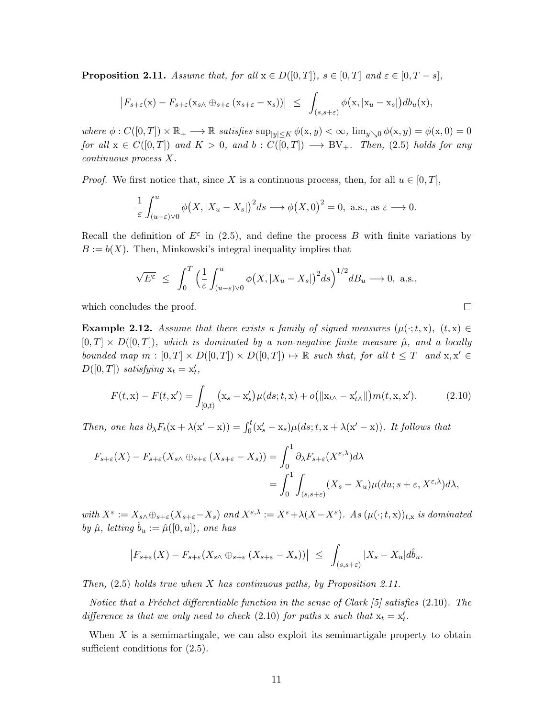**Proposition 2.11.** Assume that, for all  $x \in D([0,T])$ ,  $s \in [0,T]$  and  $\varepsilon \in [0,T-s]$ ,

$$
\left|F_{s+\varepsilon}(\mathbf{x})-F_{s+\varepsilon}(\mathbf{x}_{s\wedge}\oplus_{s+\varepsilon}(\mathbf{x}_{s+\varepsilon}-\mathbf{x}_s))\right| \leq \int_{(s,s+\varepsilon)} \phi(\mathbf{x},|\mathbf{x}_u-\mathbf{x}_s|) db_u(\mathbf{x}),
$$

where  $\phi: C([0,T]) \times \mathbb{R}_+ \longrightarrow \mathbb{R}$  satisfies  $\sup_{|y| \le K} \phi(x,y) < \infty$ ,  $\lim_{y \searrow 0} \phi(x,y) = \phi(x,0) = 0$ for all  $x \in C([0,T])$  and  $K > 0$ , and  $b : C([0,T]) \longrightarrow BV_+$ . Then, (2.5) holds for any continuous process X.

*Proof.* We first notice that, since X is a continuous process, then, for all  $u \in [0, T]$ ,

$$
\frac{1}{\varepsilon} \int_{(u-\varepsilon)\vee 0}^{u} \phi\big(X, |X_u - X_s|\big)^2 ds \longrightarrow \phi\big(X, 0\big)^2 = 0, \text{ a.s., as } \varepsilon \longrightarrow 0.
$$

Recall the definition of  $E^{\varepsilon}$  in (2.5), and define the process B with finite variations by  $B := b(X)$ . Then, Minkowski's integral inequality implies that

$$
\sqrt{E^{\varepsilon}} \leq \int_0^T \left( \frac{1}{\varepsilon} \int_{(u-\varepsilon)\vee 0}^u \phi\big(X, |X_u - X_s|\big)^2 ds \right)^{1/2} d B_u \longrightarrow 0, \text{ a.s.},
$$

which concludes the proof.

**Example 2.12.** Assume that there exists a family of signed measures  $(\mu(\cdot; t, x), (t, x) \in$  $[0, T] \times D([0, T])$ , which is dominated by a non-negative finite measure  $\hat{\mu}$ , and a locally bounded map  $m : [0, T] \times D([0, T]) \times D([0, T]) \rightarrow \mathbb{R}$  such that, for all  $t \leq T$  and  $x, x' \in$  $D([0,T])$  satisfying  $x_t = x'_t$ ,

$$
F(t, \mathbf{x}) - F(t, \mathbf{x}') = \int_{[0,t)} (\mathbf{x}_s - \mathbf{x}'_s) \mu(ds; t, \mathbf{x}) + o(\|\mathbf{x}_{t\wedge} - \mathbf{x}'_{t\wedge}\|) m(t, \mathbf{x}, \mathbf{x}'). \tag{2.10}
$$

Then, one has  $\partial_{\lambda}F_t(x+\lambda(x'-x)) = \int_0^t (x_s'-x_s)\mu(ds;t,x+\lambda(x'-x))$ . It follows that

$$
F_{s+\varepsilon}(X) - F_{s+\varepsilon}(X_{s\wedge} \oplus_{s+\varepsilon} (X_{s+\varepsilon} - X_s)) = \int_0^1 \partial_{\lambda} F_{s+\varepsilon}(X^{\varepsilon,\lambda}) d\lambda
$$
  
= 
$$
\int_0^1 \int_{(s,s+\varepsilon)} (X_s - X_u) \mu(du; s + \varepsilon, X^{\varepsilon,\lambda}) d\lambda,
$$

with  $X^{\varepsilon} := X_{s} \wedge \oplus_{s+\varepsilon} (X_{s+\varepsilon} - X_s)$  and  $X^{\varepsilon,\lambda} := X^{\varepsilon} + \lambda (X - X^{\varepsilon})$ . As  $(\mu(\cdot; t, x))_{t,x}$  is dominated by  $\hat{\mu}$ , letting  $\hat{b}_u := \hat{\mu}([0, u])$ , one has

$$
\left|F_{s+\varepsilon}(X)-F_{s+\varepsilon}(X_{s\wedge}\oplus_{s+\varepsilon}(X_{s+\varepsilon}-X_s))\right| \leq \int_{(s,s+\varepsilon)} |X_s-X_u| d\hat{b}_u.
$$

Then,  $(2.5)$  holds true when X has continuous paths, by Proposition 2.11.

Notice that a Fréchet differentiable function in the sense of Clark  $[5]$  satisfies (2.10). The difference is that we only need to check (2.10) for paths x such that  $x_t = x'_t$ .

When X is a semimartingale, we can also exploit its semimartigale property to obtain sufficient conditions for  $(2.5)$ .

 $\Box$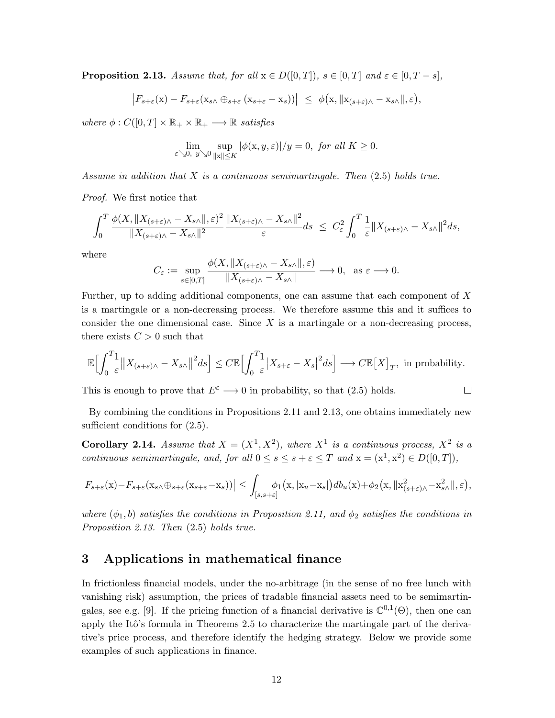**Proposition 2.13.** Assume that, for all  $x \in D([0,T])$ ,  $s \in [0,T]$  and  $\varepsilon \in [0,T-s]$ ,

$$
\left|F_{s+\varepsilon}(x)-F_{s+\varepsilon}(x_{s\wedge}\oplus_{s+\varepsilon}(x_{s+\varepsilon}-x_s))\right| \leq \phi(x, \|x_{(s+\varepsilon)\wedge}-x_{s\wedge}\|, \varepsilon),
$$

where  $\phi: C([0,T] \times \mathbb{R}_+ \times \mathbb{R}_+ \longrightarrow \mathbb{R}$  satisfies

$$
\lim_{\varepsilon \searrow 0, y \searrow 0} \sup_{\|x\| \le K} |\phi(x, y, \varepsilon)|/y = 0, \text{ for all } K \ge 0.
$$

Assume in addition that  $X$  is a continuous semimartingale. Then  $(2.5)$  holds true.

Proof. We first notice that

$$
\int_0^T \frac{\phi(X, \|X_{(s+\varepsilon)\wedge} - X_{s\wedge}\|, \varepsilon)^2}{\|X_{(s+\varepsilon)\wedge} - X_{s\wedge}\|^2} \frac{\|X_{(s+\varepsilon)\wedge} - X_{s\wedge}\|^2}{\varepsilon} ds \leq C_{\varepsilon}^2 \int_0^T \frac{1}{\varepsilon} \|X_{(s+\varepsilon)\wedge} - X_{s\wedge}\|^2 ds,
$$

where

$$
C_{\varepsilon} := \sup_{s \in [0,T]} \frac{\phi(X, \|X_{(s+\varepsilon)\wedge} - X_{s\wedge}\|, \varepsilon)}{\|X_{(s+\varepsilon)\wedge} - X_{s\wedge}\|} \longrightarrow 0, \text{ as } \varepsilon \longrightarrow 0.
$$

Further, up to adding additional components, one can assume that each component of X is a martingale or a non-decreasing process. We therefore assume this and it suffices to consider the one dimensional case. Since  $X$  is a martingale or a non-decreasing process, there exists  $C > 0$  such that

$$
\mathbb{E}\Bigl[\int_0^T \frac{1}{\varepsilon} \bigl\|X_{(s+\varepsilon)\wedge} - X_{s\wedge}\bigr\|^2 ds\Bigr] \leq C \mathbb{E}\Bigl[\int_0^T \frac{1}{\varepsilon} \bigl|X_{s+\varepsilon} - X_s\bigr|^2 ds\Bigr] \longrightarrow C \mathbb{E}\bigl[X\big]_T, \text{ in probability.}
$$

 $\Box$ 

This is enough to prove that  $E^{\varepsilon} \longrightarrow 0$  in probability, so that (2.5) holds.

By combining the conditions in Propositions 2.11 and 2.13, one obtains immediately new sufficient conditions for  $(2.5)$ .

**Corollary 2.14.** Assume that  $X = (X^1, X^2)$ , where  $X^1$  is a continuous process,  $X^2$  is a continuous semimartingale, and, for all  $0 \le s \le s + \varepsilon \le T$  and  $x = (x^1, x^2) \in D([0, T]),$ 

$$
\left|F_{s+\varepsilon}(\mathbf{x})-F_{s+\varepsilon}(\mathbf{x}_{s\wedge}\oplus_{s+\varepsilon}(\mathbf{x}_{s+\varepsilon}-\mathbf{x}_s))\right|\leq \int_{[s,s+\varepsilon]} \phi_1\big(\mathbf{x},|\mathbf{x}_u-\mathbf{x}_s|\big)db_u(\mathbf{x})+\phi_2\big(\mathbf{x},||\mathbf{x}_{(s+\varepsilon)\wedge}^2-\mathbf{x}_{s\wedge}^2||,\varepsilon\big),
$$

where  $(\phi_1, b)$  satisfies the conditions in Proposition 2.11, and  $\phi_2$  satisfies the conditions in Proposition 2.13. Then (2.5) holds true.

## 3 Applications in mathematical finance

In frictionless financial models, under the no-arbitrage (in the sense of no free lunch with vanishing risk) assumption, the prices of tradable financial assets need to be semimartingales, see e.g. [9]. If the pricing function of a financial derivative is  $\mathbb{C}^{0,1}(\Theta)$ , then one can apply the Itô's formula in Theorems 2.5 to characterize the martingale part of the derivative's price process, and therefore identify the hedging strategy. Below we provide some examples of such applications in finance.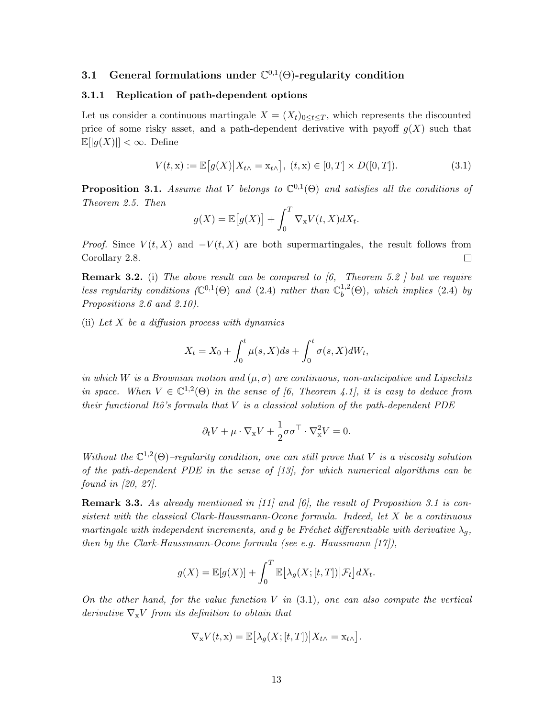## 3.1 General formulations under  $\mathbb{C}^{0,1}(\Theta)$ -regularity condition

#### 3.1.1 Replication of path-dependent options

Let us consider a continuous martingale  $X = (X_t)_{0 \leq t \leq T}$ , which represents the discounted price of some risky asset, and a path-dependent derivative with payoff  $g(X)$  such that  $\mathbb{E}[|g(X)|]<\infty$ . Define

$$
V(t, x) := \mathbb{E}\big[g(X)\big|X_{t\wedge} = x_{t\wedge}\big], (t, x) \in [0, T] \times D([0, T]). \tag{3.1}
$$

**Proposition 3.1.** Assume that V belongs to  $\mathbb{C}^{0,1}(\Theta)$  and satisfies all the conditions of Theorem 2.5. Then

$$
g(X) = \mathbb{E}\big[g(X)\big] + \int_0^T \nabla_{\mathbf{x}} V(t, X) dX_t.
$$

*Proof.* Since  $V(t, X)$  and  $-V(t, X)$  are both supermartingales, the result follows from Corollary 2.8.  $\Box$ 

**Remark 3.2.** (i) The above result can be compared to  $(6,$  Theorem 5.2 *contrare by 1.0.1 we require* less regularity conditions  $(\mathbb{C}^{0,1}(\Theta))$  and  $(2.4)$  rather than  $\mathbb{C}_{b}^{1,2}$  $b^{1,2}(\Theta)$ , which implies (2.4) by Propositions 2.6 and 2.10).

(ii) Let X be a diffusion process with dynamics

$$
X_t = X_0 + \int_0^t \mu(s, X)ds + \int_0^t \sigma(s, X)dW_t,
$$

in which W is a Brownian motion and  $(\mu, \sigma)$  are continuous, non-anticipative and Lipschitz in space. When  $V \in \mathbb{C}^{1,2}(\Theta)$  in the sense of [6, Theorem 4.1], it is easy to deduce from their functional Itô's formula that  $V$  is a classical solution of the path-dependent PDE

$$
\partial_t V + \mu \cdot \nabla_{\mathbf{x}} V + \frac{1}{2} \sigma \sigma^\top \cdot \nabla_{\mathbf{x}}^2 V = 0.
$$

Without the  $\mathbb{C}^{1,2}(\Theta)$ -regularity condition, one can still prove that V is a viscosity solution of the path-dependent PDE in the sense of  $[13]$ , for which numerical algorithms can be found in [20, 27].

**Remark 3.3.** As already mentioned in  $\begin{bmatrix} 11 \end{bmatrix}$  and  $\begin{bmatrix} 6 \end{bmatrix}$ , the result of Proposition 3.1 is consistent with the classical Clark-Haussmann-Ocone formula. Indeed, let X be a continuous martingale with independent increments, and g be Fréchet differentiable with derivative  $\lambda_q$ , then by the Clark-Haussmann-Ocone formula (see e.g. Haussmann  $[17]$ ),

$$
g(X) = \mathbb{E}[g(X)] + \int_0^T \mathbb{E}[\lambda_g(X; [t, T]) | \mathcal{F}_t] dX_t.
$$

On the other hand, for the value function  $V$  in  $(3.1)$ , one can also compute the vertical derivative  $\nabla_{\mathbf{x}} V$  from its definition to obtain that

$$
\nabla_{\mathbf{x}} V(t, \mathbf{x}) = \mathbb{E} \big[ \lambda_g(X; [t, T]) \big| X_{t \wedge} = \mathbf{x}_{t \wedge} \big].
$$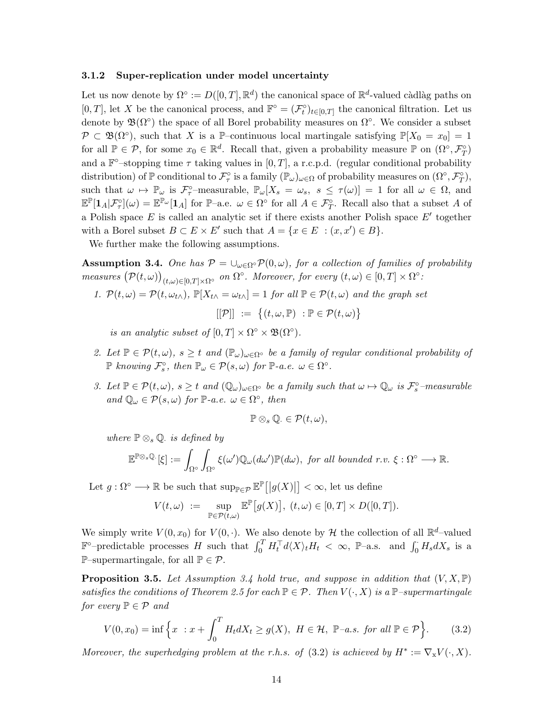#### 3.1.2 Super-replication under model uncertainty

Let us now denote by  $\Omega^{\circ} := D([0,T], \mathbb{R}^d)$  the canonical space of  $\mathbb{R}^d$ -valued càdlàg paths on [0, T], let X be the canonical process, and  $\mathbb{F}^{\circ} = (\mathcal{F}^{\circ}_t)_{t \in [0,T]}$  the canonical filtration. Let us denote by  $\mathfrak{B}(\Omega)$  the space of all Borel probability measures on  $\Omega$ °. We consider a subset  $\mathcal{P} \subset \mathfrak{B}(\Omega^{\circ}),$  such that X is a P-continuous local martingale satisfying  $\mathbb{P}[X_0 = x_0] = 1$ for all  $\mathbb{P} \in \mathcal{P}$ , for some  $x_0 \in \mathbb{R}^d$ . Recall that, given a probability measure  $\mathbb{P}$  on  $(\Omega^{\circ}, \mathcal{F}^{\circ}_{T})$ and a  $\mathbb{F}^{\circ}$ -stopping time  $\tau$  taking values in [0, T], a r.c.p.d. (regular conditional probability distribution) of  $\mathbb P$  conditional to  $\mathcal{F}^\circ_\tau$  is a family  $(\mathbb{P}_\omega)_{\omega \in \Omega}$  of probability measures on  $(\Omega^\circ, \mathcal{F}^\circ_T)$ , such that  $\omega \mapsto \mathbb{P}_{\omega}$  is  $\mathcal{F}_{\tau}^{\circ}$ -measurable,  $\mathbb{P}_{\omega}[X_s = \omega_s, s \leq \tau(\omega)] = 1$  for all  $\omega \in \Omega$ , and  $\mathbb{E}^{\mathbb{P}}[\mathbf{1}_A|\mathcal{F}^{\circ}_\tau](\omega) = \mathbb{E}^{\mathbb{P}_{\omega}}[\mathbf{1}_A]$  for  $\mathbb{P}-a.e.$   $\omega \in \Omega^{\circ}$  for all  $A \in \mathcal{F}^{\circ}_T$ . Recall also that a subset A of a Polish space  $E$  is called an analytic set if there exists another Polish space  $E'$  together with a Borel subset  $B \subset E \times E'$  such that  $A = \{x \in E : (x, x') \in B\}.$ 

We further make the following assumptions.

**Assumption 3.4.** One has  $\mathcal{P} = \bigcup_{\omega \in \Omega} \mathcal{P}(0, \omega)$ , for a collection of families of probability measures  $(\mathcal{P}(t,\omega))_{(t,\omega)\in[0,T]\times\Omega^{\circ}}$  on  $\Omega^{\circ}$ . Moreover, for every  $(t,\omega)\in[0,T]\times\Omega^{\circ}$ :

1.  $\mathcal{P}(t,\omega) = \mathcal{P}(t,\omega_{t\wedge}), \mathbb{P}[X_{t\wedge}=\omega_{t\wedge}]=1$  for all  $\mathbb{P}\in\mathcal{P}(t,\omega)$  and the graph set

 $[{\mathcal{P}}]$  :=  $\{(t,\omega,\mathbb{P}) : \mathbb{P} \in {\mathcal{P}}(t,\omega)\}\$ 

is an analytic subset of  $[0, T] \times \Omega^{\circ} \times \mathfrak{B}(\Omega^{\circ}).$ 

- 2. Let  $\mathbb{P} \in \mathcal{P}(t,\omega)$ ,  $s \geq t$  and  $(\mathbb{P}_{\omega})_{\omega \in \Omega}$ <sup>o</sup> be a family of regular conditional probability of  $\mathbb P$  knowing  $\mathcal{F}_s^{\circ}$ , then  $\mathbb{P}_{\omega} \in \mathcal{P}(s, \omega)$  for  $\mathbb P$ -a.e.  $\omega \in \Omega^{\circ}$ .
- 3. Let  $\mathbb{P} \in \mathcal{P}(t,\omega)$ ,  $s \geq t$  and  $(\mathbb{Q}_{\omega})_{\omega \in \Omega^{\circ}}$  be a family such that  $\omega \mapsto \mathbb{Q}_{\omega}$  is  $\mathcal{F}_{s}^{\circ}$ -measurable and  $\mathbb{Q}_{\omega} \in \mathcal{P}(s, \omega)$  for  $\mathbb{P}\text{-}a.e.$   $\omega \in \Omega^{\circ}$ , then

$$
\mathbb{P}\otimes_s\mathbb{Q}.\in\mathcal{P}(t,\omega),
$$

where  $\mathbb{P} \otimes_s \mathbb{Q}$  is defined by

$$
\mathbb{E}^{\mathbb{P}\otimes_s \mathbb{Q}_\cdot}[\xi] := \int_{\Omega^\circ} \int_{\Omega^\circ} \xi(\omega') \mathbb{Q}_{\omega}(d\omega') \mathbb{P}(d\omega), \text{ for all bounded } r.v. \xi : \Omega^\circ \longrightarrow \mathbb{R}.
$$

Let  $g: \Omega^{\circ} \longrightarrow \mathbb{R}$  be such that  $\sup_{\mathbb{P} \in \mathcal{P}} \mathbb{E}^{\mathbb{P}}[g(X)|] < \infty$ , let us define

$$
V(t,\omega) := \sup_{\mathbb{P}\in\mathcal{P}(t,\omega)} \mathbb{E}^{\mathbb{P}}\big[g(X)\big], (t,\omega) \in [0,T] \times D([0,T]).
$$

We simply write  $V(0, x_0)$  for  $V(0, \cdot)$ . We also denote by  $\mathcal H$  the collection of all  $\mathbb R^d$ -valued  $\mathbb{F}^{\circ}$ -predictable processes H such that  $\int_0^T H_t^{\top} d\langle X \rangle_t H_t < \infty$ , P-a.s. and  $\int_0^{\cdot} H_s dX_s$  is a  $\mathbb{P}\text{-supermartingale, for all } \mathbb{P} \in \mathcal{P}.$ 

**Proposition 3.5.** Let Assumption 3.4 hold true, and suppose in addition that  $(V, X, \mathbb{P})$ satisfies the conditions of Theorem 2.5 for each  $\mathbb{P} \in \mathcal{P}$ . Then  $V(\cdot, X)$  is a  $\mathbb{P}$ -supermartingale for every  $\mathbb{P} \in \mathcal{P}$  and

$$
V(0, x_0) = \inf \left\{ x : x + \int_0^T H_t dX_t \ge g(X), \ H \in \mathcal{H}, \ \mathbb{P}-a.s. \text{ for all } \mathbb{P} \in \mathcal{P} \right\}. \tag{3.2}
$$

Moreover, the superhedging problem at the r.h.s. of (3.2) is achieved by  $H^* := \nabla_X V(\cdot, X)$ .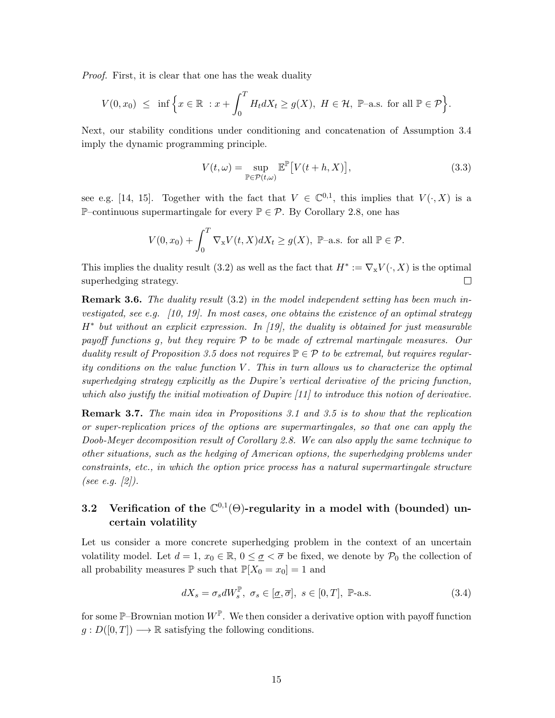Proof. First, it is clear that one has the weak duality

$$
V(0,x_0) \leq \inf \Big\{ x \in \mathbb{R} : x + \int_0^T H_t dX_t \geq g(X), \ H \in \mathcal{H}, \ \mathbb{P}\text{-a.s. for all } \mathbb{P} \in \mathcal{P} \Big\}.
$$

Next, our stability conditions under conditioning and concatenation of Assumption 3.4 imply the dynamic programming principle.

$$
V(t,\omega) = \sup_{\mathbb{P}\in\mathcal{P}(t,\omega)} \mathbb{E}^{\mathbb{P}}\big[V(t+h,X)\big],\tag{3.3}
$$

see e.g. [14, 15]. Together with the fact that  $V \in \mathbb{C}^{0,1}$ , this implies that  $V(\cdot, X)$  is a P–continuous supermartingale for every  $\mathbb{P} \in \mathcal{P}$ . By Corollary 2.8, one has

$$
V(0, x_0) + \int_0^T \nabla_{\mathbf{x}} V(t, X) dX_t \ge g(X), \ \mathbb{P}\text{-a.s. for all } \mathbb{P} \in \mathcal{P}.
$$

This implies the duality result (3.2) as well as the fact that  $H^* := \nabla_X V(\cdot, X)$  is the optimal superhedging strategy.  $\Box$ 

**Remark 3.6.** The duality result  $(3.2)$  in the model independent setting has been much investigated, see e.g. [10, 19]. In most cases, one obtains the existence of an optimal strategy H<sup>\*</sup> but without an explicit expression. In [19], the duality is obtained for just measurable payoff functions g, but they require P to be made of extremal martingale measures. Our duality result of Proposition 3.5 does not requires  $\mathbb{P} \in \mathcal{P}$  to be extremal, but requires regularity conditions on the value function  $V$ . This in turn allows us to characterize the optimal superhedging strategy explicitly as the Dupire's vertical derivative of the pricing function, which also justify the initial motivation of Dupire [11] to introduce this notion of derivative.

**Remark 3.7.** The main idea in Propositions 3.1 and 3.5 is to show that the replication or super-replication prices of the options are supermartingales, so that one can apply the Doob-Meyer decomposition result of Corollary 2.8. We can also apply the same technique to other situations, such as the hedging of American options, the superhedging problems under constraints, etc., in which the option price process has a natural supermartingale structure (see e.g. [2]).

## 3.2 Verification of the  $\mathbb{C}^{0,1}(\Theta)$ -regularity in a model with (bounded) uncertain volatility

Let us consider a more concrete superhedging problem in the context of an uncertain volatility model. Let  $d = 1, x_0 \in \mathbb{R}, 0 \leq \underline{\sigma} < \overline{\sigma}$  be fixed, we denote by  $\mathcal{P}_0$  the collection of all probability measures  $\mathbb P$  such that  $\mathbb P[X_0 = x_0] = 1$  and

$$
dX_s = \sigma_s dW_s^{\mathbb{P}}, \ \sigma_s \in [\underline{\sigma}, \overline{\sigma}], \ s \in [0, T], \ \mathbb{P}\text{-a.s.}
$$
\n
$$
(3.4)
$$

for some  $\mathbb{P}\text{-}\mathrm{Brownian}$  motion  $W^{\mathbb{P}}$ . We then consider a derivative option with payoff function  $g: D([0,T]) \longrightarrow \mathbb{R}$  satisfying the following conditions.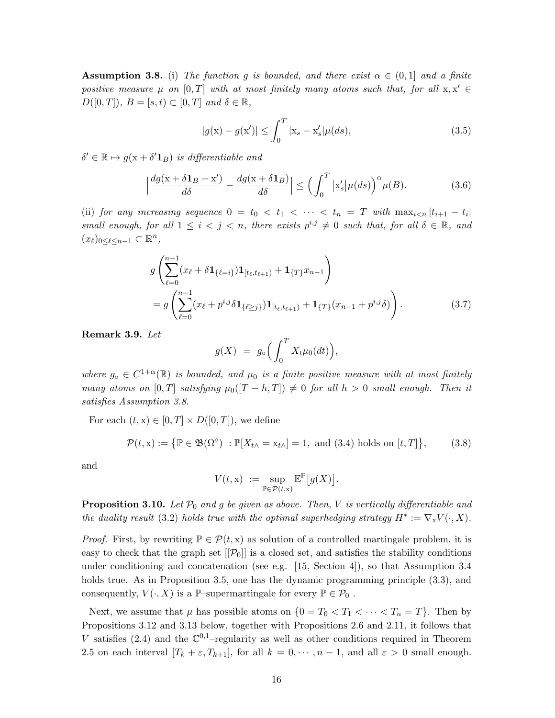**Assumption 3.8.** (i) The function g is bounded, and there exist  $\alpha \in (0,1]$  and a finite positive measure  $\mu$  on [0, T] with at most finitely many atoms such that, for all  $x, x' \in$  $D([0,T]), B = [s,t) \subset [0,T]$  and  $\delta \in \mathbb{R}$ ,

$$
|g(\mathbf{x}) - g(\mathbf{x}')| \le \int_0^T |\mathbf{x}_s - \mathbf{x}'_s| \mu(ds), \tag{3.5}
$$

 $\delta' \in \mathbb{R} \mapsto g(\mathbf{x} + \delta' \mathbf{1}_B)$  is differentiable and

$$
\left|\frac{dg(x+\delta\mathbf{1}_B+x')}{d\delta} - \frac{dg(x+\delta\mathbf{1}_B)}{d\delta}\right| \le \left(\int_0^T |x'_s|\mu(ds)\right)^\alpha \mu(B). \tag{3.6}
$$

(ii) for any increasing sequence  $0 = t_0 < t_1 < \cdots < t_n = T$  with  $\max_{i \leq n} |t_{i+1} - t_i|$ small enough, for all  $1 \leq i < j < n$ , there exists  $p^{i,j} \neq 0$  such that, for all  $\delta \in \mathbb{R}$ , and  $(x_\ell)_{0 \leq \ell \leq n-1} \subset \mathbb{R}^n$ ,

$$
g\left(\sum_{\ell=0}^{n-1} (x_{\ell} + \delta \mathbf{1}_{\{\ell=i\}}) \mathbf{1}_{[t_{\ell}, t_{\ell+1})} + \mathbf{1}_{\{T\}} x_{n-1}\right)
$$
  
=  $g\left(\sum_{\ell=0}^{n-1} (x_{\ell} + p^{i,j} \delta \mathbf{1}_{\{\ell \geq j\}}) \mathbf{1}_{[t_{\ell}, t_{\ell+1})} + \mathbf{1}_{\{T\}} (x_{n-1} + p^{i,j} \delta)\right).$  (3.7)

Remark 3.9. Let

$$
g(X) = g_{\circ} \Big( \int_0^T X_t \mu_0(dt) \Big),
$$

where  $g_{\circ} \in C^{1+\alpha}(\mathbb{R})$  is bounded, and  $\mu_0$  is a finite positive measure with at most finitely many atoms on [0, T] satisfying  $\mu_0([T-h,T]) \neq 0$  for all  $h > 0$  small enough. Then it satisfies Assumption 3.8.

For each  $(t, x) \in [0, T] \times D([0, T])$ , we define

$$
\mathcal{P}(t, \mathbf{x}) := \{ \mathbb{P} \in \mathfrak{B}(\Omega^{\circ}) : \mathbb{P}[X_{t \wedge} = \mathbf{x}_{t \wedge}] = 1, \text{ and } (3.4) \text{ holds on } [t, T] \},\tag{3.8}
$$

and

$$
V(t, \mathbf{x}) := \sup_{\mathbb{P} \in \mathcal{P}(t, \mathbf{x})} \mathbb{E}^{\mathbb{P}}[g(X)].
$$

**Proposition 3.10.** Let  $\mathcal{P}_0$  and g be given as above. Then, V is vertically differentiable and the duality result (3.2) holds true with the optimal superhedging strategy  $H^* := \nabla_X V(\cdot, X)$ .

*Proof.* First, by rewriting  $\mathbb{P} \in \mathcal{P}(t, x)$  as solution of a controlled martingale problem, it is easy to check that the graph set  $[[\mathcal{P}_0]]$  is a closed set, and satisfies the stability conditions under conditioning and concatenation (see e.g. [15, Section 4]), so that Assumption 3.4 holds true. As in Proposition 3.5, one has the dynamic programming principle  $(3.3)$ , and consequently,  $V(\cdot, X)$  is a P–supermartingale for every  $\mathbb{P} \in \mathcal{P}_0$ .

Next, we assume that  $\mu$  has possible atoms on  $\{0 = T_0 < T_1 < \cdots < T_n = T\}$ . Then by Propositions 3.12 and 3.13 below, together with Propositions 2.6 and 2.11, it follows that V satisfies (2.4) and the  $\mathbb{C}^{0,1}$ -regularity as well as other conditions required in Theorem 2.5 on each interval  $[T_k + \varepsilon, T_{k+1}]$ , for all  $k = 0, \dots, n-1$ , and all  $\varepsilon > 0$  small enough.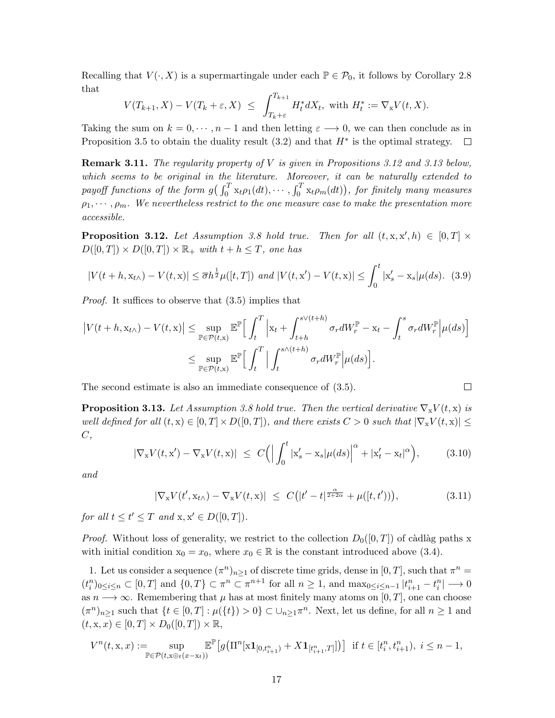Recalling that  $V(\cdot, X)$  is a supermartingale under each  $\mathbb{P} \in \mathcal{P}_0$ , it follows by Corollary 2.8 that

$$
V(T_{k+1}, X) - V(T_k + \varepsilon, X) \le \int_{T_k + \varepsilon}^{T_{k+1}} H_t^* dX_t, \text{ with } H_t^* := \nabla_X V(t, X).
$$

Taking the sum on  $k = 0, \dots, n-1$  and then letting  $\varepsilon \longrightarrow 0$ , we can then conclude as in Proposition 3.5 to obtain the duality result  $(3.2)$  and that  $H^*$  is the optimal strategy.  $\Box$ 

**Remark 3.11.** The regularity property of  $V$  is given in Propositions 3.12 and 3.13 below, which seems to be original in the literature. Moreover, it can be naturally extended to payoff functions of the form  $g\left(\int_0^T \mathbf{x}_t \rho_1(dt), \cdots, \int_0^T \mathbf{x}_t \rho_m(dt)\right)$ , for finitely many measures  $\rho_1, \cdots, \rho_m$ . We nevertheless restrict to the one measure case to make the presentation more accessible.

**Proposition 3.12.** Let Assumption 3.8 hold true. Then for all  $(t, x, x', h) \in [0, T] \times$  $D([0,T]) \times D([0,T]) \times \mathbb{R}_+$  with  $t + h \leq T$ , one has

$$
|V(t+h, \mathbf{x}_{t\wedge}) - V(t, \mathbf{x})| \le \overline{\sigma} h^{\frac{1}{2}} \mu([t, T]) \text{ and } |V(t, \mathbf{x}') - V(t, \mathbf{x})| \le \int_0^t |\mathbf{x}'_s - \mathbf{x}_s| \mu(ds). \tag{3.9}
$$

Proof. It suffices to observe that (3.5) implies that

$$
\begin{split} \left| V(t+h, \mathbf{x}_{t\wedge}) - V(t, \mathbf{x}) \right| &\leq \sup_{\mathbb{P} \in \mathcal{P}(t, \mathbf{x})} \mathbb{E}^{\mathbb{P}} \Big[ \int_{t}^{T} \Big| \mathbf{x}_{t} + \int_{t+h}^{s \vee (t+h)} \sigma_{r} dW_{r}^{\mathbb{P}} - \mathbf{x}_{t} - \int_{t}^{s} \sigma_{r} dW_{r}^{\mathbb{P}} \Big| \mu(ds) \Big] \\ &\leq \sup_{\mathbb{P} \in \mathcal{P}(t, \mathbf{x})} \mathbb{E}^{\mathbb{P}} \Big[ \int_{t}^{T} \Big| \int_{t}^{s \wedge (t+h)} \sigma_{r} dW_{r}^{\mathbb{P}} \Big| \mu(ds) \Big]. \end{split}
$$

The second estimate is also an immediate consequence of (3.5).

**Proposition 3.13.** Let Assumption 3.8 hold true. Then the vertical derivative  $\nabla_{\mathbf{x}} V(t, \mathbf{x})$  is well defined for all  $(t, x) \in [0, T] \times D([0, T])$ , and there exists  $C > 0$  such that  $|\nabla_x V(t, x)| \le$  $C,$ 

$$
|\nabla_{\mathbf{x}} V(t, \mathbf{x}') - \nabla_{\mathbf{x}} V(t, \mathbf{x})| \leq C \Big( \Big| \int_0^t |\mathbf{x}'_s - \mathbf{x}_s| \mu(ds) \Big|^{\alpha} + |\mathbf{x}'_t - \mathbf{x}_t|^{\alpha} \Big), \tag{3.10}
$$

and

$$
|\nabla_{\mathbf{x}} V(t', \mathbf{x}_{t\wedge}) - \nabla_{\mathbf{x}} V(t, \mathbf{x})| \leq C\big(|t'-t|^{\frac{\alpha}{2+2\alpha}} + \mu([t, t'))\big),\tag{3.11}
$$

 $\Box$ 

for all  $t \le t' \le T$  and  $x, x' \in D([0, T]).$ 

*Proof.* Without loss of generality, we restrict to the collection  $D_0([0,T])$  of càdlàg paths x with initial condition  $x_0 = x_0$ , where  $x_0 \in \mathbb{R}$  is the constant introduced above (3.4).

1. Let us consider a sequence  $(\pi^n)_{n\geq 1}$  of discrete time grids, dense in  $[0, T]$ , such that  $\pi^n =$  $(t_i^n)_{0 \leq i \leq n} \subset [0,T]$  and  $\{0,T\} \subset \pi^n \subset \pi^{n+1}$  for all  $n \geq 1$ , and  $\max_{0 \leq i \leq n-1} |t_{i+1}^n - t_i^n| \longrightarrow 0$ as  $n \longrightarrow \infty$ . Remembering that  $\mu$  has at most finitely many atoms on [0, T], one can choose  $(\pi^n)_{n\geq 1}$  such that  $\{t\in [0,T]: \mu(\{t\})>0\} \subset \bigcup_{n\geq 1} \pi^n$ . Next, let us define, for all  $n\geq 1$  and  $(t, x, x) \in [0, T] \times D_0([0, T]) \times \mathbb{R},$ 

$$
V^{n}(t, x, x) := \sup_{\mathbb{P} \in \mathcal{P}(t, x \oplus t(x - x_{t}))} \mathbb{E}^{\mathbb{P}}\big[g\big(\Pi^{n}[\mathbf{x} \mathbf{1}_{[0, t_{i+1}^{n})} + X \mathbf{1}_{[t_{i+1}^{n}, T]}]\big)\big] \text{ if } t \in [t_{i}^{n}, t_{i+1}^{n}), \ i \leq n - 1,
$$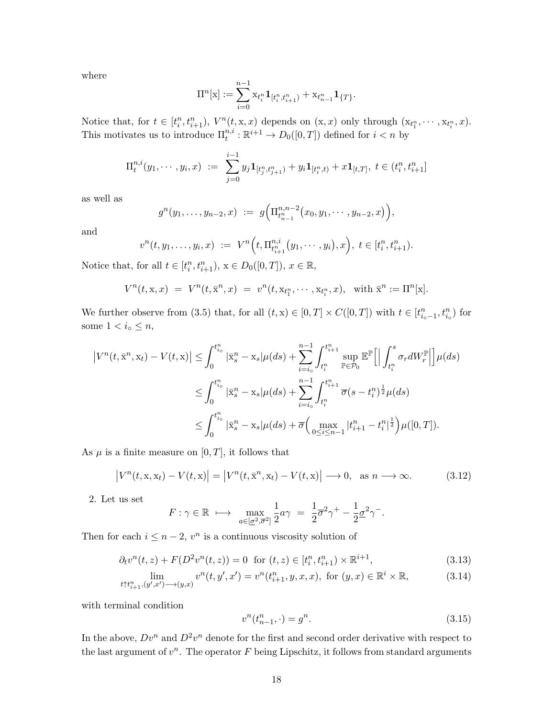where

$$
\Pi^n[{\mathbf{x}}]:=\sum_{i=0}^{n-1}{\mathbf{x}}_{t_i^n} \mathbf{1}_{[t_i^n,t_{i+1}^n)}+{\mathbf{x}}_{t_{n-1}^n} \mathbf{1}_{\{T\}}.
$$

Notice that, for  $t \in [t_i^n, t_{i+1}^n)$ ,  $V^n(t, x, x)$  depends on  $(x, x)$  only through  $(x_{t_1^n}, \dots, x_{t_i^n}, x)$ . This motivates us to introduce  $\Pi_t^{n,i}: \mathbb{R}^{i+1} \to D_0([0,T])$  defined for  $i < n$  by

$$
\Pi_t^{n,i}(y_1,\cdots,y_i,x) \ := \ \sum_{j=0}^{i-1} y_j \mathbf{1}_{[t_j^n,t_{j+1}^n)} + y_i \mathbf{1}_{[t_i^n,t)} + x \mathbf{1}_{[t,T]}, \ t \in (t_i^n,t_{i+1}^n]
$$

as well as

$$
g^{n}(y_1,\ldots,y_{n-2},x) := g\Big(\Pi_{t_{n-1}^n}^{n,n-2}(x_0,y_1,\cdots,y_{n-2},x)\Big),
$$

and

$$
v^{n}(t, y_{1}, \ldots, y_{i}, x) := V^{n}\Big(t, \Pi_{t_{i+1}^{n}}^{n,i}(y_{1}, \cdots, y_{i}), x\Big), t \in [t_{i}^{n}, t_{i+1}^{n}).
$$

Notice that, for all  $t \in [t_i^n, t_{i+1}^n)$ ,  $x \in D_0([0, T])$ ,  $x \in \mathbb{R}$ ,

$$
V^n(t, \mathbf{x}, x) = V^n(t, \bar{\mathbf{x}}^n, x) = v^n(t, \mathbf{x}_{t_1^n}, \dots, \mathbf{x}_{t_i^n}, x), \text{ with } \bar{\mathbf{x}}^n := \Pi^n[\mathbf{x}].
$$

We further observe from (3.5) that, for all  $(t, x) \in [0, T] \times C([0, T])$  with  $t \in [t_{i_{o}-1}^{n}, t_{i_{o}}^{n})$  for some  $1 < i_{\circ} \leq n$ ,

$$
\begin{split} \left|V^{n}(t,\bar{\mathbf{x}}^{n},\mathbf{x}_{t})-V(t,\mathbf{x})\right| &\leq \int_{0}^{t_{i_{0}}^{n}}|\bar{\mathbf{x}}_{s}^{n}-\mathbf{x}_{s}|\mu(ds)+\sum_{i=i_{0}}^{n-1}\int_{t_{i}^{n}}^{t_{i+1}^{n}}\sup_{\mathbb{P}\in\mathcal{P}_{0}}\mathbb{E}^{\mathbb{P}}\Big[\Big|\int_{t_{i}^{n}}^{s}\sigma_{r}dW_{r}^{\mathbb{P}}\Big|\Big]\mu(ds) \\ &\leq \int_{0}^{t_{i_{0}}^{n}}|\bar{\mathbf{x}}_{s}^{n}-\mathbf{x}_{s}|\mu(ds)+\sum_{i=i_{0}}^{n-1}\int_{t_{i}^{n}}^{t_{i+1}^{n}}\overline{\sigma}(s-t_{i}^{n})^{\frac{1}{2}}\mu(ds) \\ &\leq \int_{0}^{t_{i_{0}}^{n}}|\bar{\mathbf{x}}_{s}^{n}-\mathbf{x}_{s}|\mu(ds)+\overline{\sigma}\Big(\max_{0\leq i\leq n-1}|t_{i+1}^{n}-t_{i}^{n}|^{\frac{1}{2}}\Big)\mu([0,T]). \end{split}
$$

As  $\mu$  is a finite measure on [0, T], it follows that

$$
\left|V^n(t, \mathbf{x}, \mathbf{x}_t) - V(t, \mathbf{x})\right| = \left|V^n(t, \bar{\mathbf{x}}^n, \mathbf{x}_t) - V(t, \mathbf{x})\right| \longrightarrow 0, \text{ as } n \longrightarrow \infty. \tag{3.12}
$$

2. Let us set

$$
F: \gamma \in \mathbb{R} \ \longmapsto \ \max_{a \in [\underline{\sigma}^2, \overline{\sigma}^2]} \frac{1}{2} a \gamma \ = \ \frac{1}{2} \overline{\sigma}^2 \gamma^+ - \frac{1}{2} \underline{\sigma}^2 \gamma^-.
$$

Then for each  $i \leq n-2$ ,  $v^n$  is a continuous viscosity solution of

$$
\partial_t v^n(t, z) + F(D^2 v^n(t, z)) = 0 \text{ for } (t, z) \in [t_i^n, t_{i+1}^n) \times \mathbb{R}^{i+1}, \tag{3.13}
$$

$$
\lim_{t \uparrow t_{i+1}^n, (y', x') \longrightarrow (y, x)} v^n(t, y', x') = v^n(t_{i+1}^n, y, x, x), \text{ for } (y, x) \in \mathbb{R}^i \times \mathbb{R}, \tag{3.14}
$$

with terminal condition

$$
v^n(t_{n-1}^n, \cdot) = g^n. \tag{3.15}
$$

In the above,  $Dv^n$  and  $D^2v^n$  denote for the first and second order derivative with respect to the last argument of  $v^n$ . The operator  $F$  being Lipschitz, it follows from standard arguments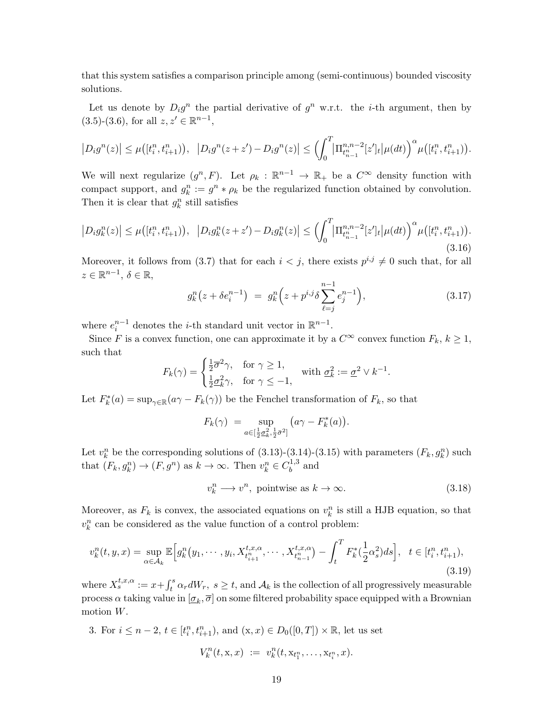that this system satisfies a comparison principle among (semi-continuous) bounded viscosity solutions.

Let us denote by  $D_i g^n$  the partial derivative of  $g^n$  w.r.t. the *i*-th argument, then by  $(3.5)-(3.6)$ , for all  $z, z' \in \mathbb{R}^{n-1}$ ,

$$
|D_i g^n(z)| \leq \mu([t_i^n, t_{i+1}^n)), \ |D_i g^n(z+z') - D_i g^n(z)| \leq \left(\int_0^T \left|\Pi_{t_{n-1}^n}^{n,n-2} [z']_t \right| \mu(dt)\right)^\alpha \mu([t_i^n, t_{i+1}^n)).
$$

We will next regularize  $(g^n, F)$ . Let  $\rho_k : \mathbb{R}^{n-1} \to \mathbb{R}_+$  be a  $C^{\infty}$  density function with compact support, and  $g_k^n := g^n * \rho_k$  be the regularized function obtained by convolution. Then it is clear that  $g_k^n$  still satisfies

$$
\left|D_{i}g_{k}^{n}(z)\right| \leq \mu\big([t_{i}^{n}, t_{i+1}^{n})\big), \quad \left|D_{i}g_{k}^{n}(z+z') - D_{i}g_{k}^{n}(z)\right| \leq \left(\int_{0}^{T} \left|\Pi_{t_{n-1}}^{n,n-2}[z']_{t}\right|\mu(dt)\right)^{\alpha} \mu\big([t_{i}^{n}, t_{i+1}^{n})\big).
$$
\n(3.16)

Moreover, it follows from (3.7) that for each  $i < j$ , there exists  $p^{i,j} \neq 0$  such that, for all  $z \in \mathbb{R}^{n-1}, \, \delta \in \mathbb{R},$ 

$$
g_k^n(z + \delta e_i^{n-1}) = g_k^n(z + p^{i,j}\delta \sum_{\ell=j}^{n-1} e_j^{n-1}), \qquad (3.17)
$$

where  $e_i^{n-1}$  denotes the *i*-th standard unit vector in  $\mathbb{R}^{n-1}$ .

Since F is a convex function, one can approximate it by a  $C^{\infty}$  convex function  $F_k, k \geq 1$ , such that

$$
F_k(\gamma) = \begin{cases} \frac{1}{2}\overline{\sigma}^2 \gamma, & \text{for } \gamma \ge 1, \\ \frac{1}{2}\underline{\sigma}_k^2 \gamma, & \text{for } \gamma \le -1, \end{cases} \text{ with } \underline{\sigma}_k^2 := \underline{\sigma}^2 \vee k^{-1}.
$$

Let  $F_k^*(a) = \sup_{\gamma \in \mathbb{R}} (a\gamma - F_k(\gamma))$  be the Fenchel transformation of  $F_k$ , so that

$$
F_k(\gamma) = \sup_{a \in \left[\frac{1}{2}\sigma_k^2, \frac{1}{2}\bar{\sigma}^2\right]} \left(a\gamma - F_k^*(a)\right).
$$

Let  $v_k^n$  be the corresponding solutions of (3.13)-(3.14)-(3.15) with parameters  $(F_k, g_k^n)$  such that  $(F_k, g_k^n) \to (F, g^n)$  as  $k \to \infty$ . Then  $v_k^n \in C_b^{1,3}$  $b^{1,3}$  and

$$
v_k^n \longrightarrow v^n, \text{ pointwise as } k \to \infty. \tag{3.18}
$$

Moreover, as  $F_k$  is convex, the associated equations on  $v_k^n$  is still a HJB equation, so that  $v_k^n$  can be considered as the value function of a control problem:

$$
v_k^n(t, y, x) = \sup_{\alpha \in \mathcal{A}_k} \mathbb{E} \Big[ g_k^n(y_1, \cdots, y_i, X_{t_{i+1}^n}^{t, x, \alpha}, \cdots, X_{t_{n-1}^n}^{t, x, \alpha}) - \int_t^T F_k^*(\frac{1}{2}\alpha_s^2) ds \Big], \quad t \in [t_i^n, t_{i+1}^n), \tag{3.19}
$$

where  $X_s^{t,x,\alpha} := x + \int_t^s \alpha_r dW_r$ ,  $s \ge t$ , and  $\mathcal{A}_k$  is the collection of all progressively measurable process  $\alpha$  taking value in  $[\underline{\sigma}_k, \overline{\sigma}]$  on some filtered probability space equipped with a Brownian motion W.

3. For  $i \leq n-2$ ,  $t \in [t_i^n, t_{i+1}^n)$ , and  $(x, x) \in D_0([0, T]) \times \mathbb{R}$ , let us set

$$
V_k^n(t, \mathbf{x}, x) := v_k^n(t, \mathbf{x}_{t_1^n}, \dots, \mathbf{x}_{t_i^n}, x).
$$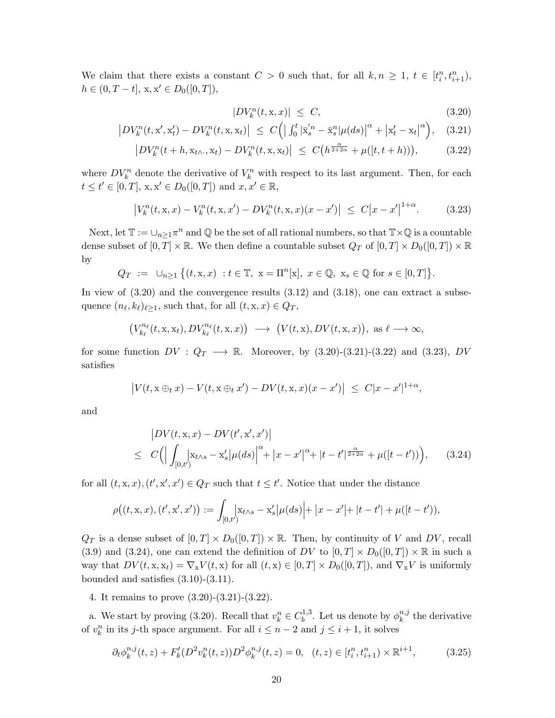We claim that there exists a constant  $C > 0$  such that, for all  $k, n \geq 1, t \in [t_i^n, t_{i+1}^n)$ ,  $h \in (0, T - t], x, x' \in D_0([0, T]),$ 

$$
|DV_k^n(t, \mathbf{x}, x)| \le C,\tag{3.20}
$$

$$
\left| DV_k^n(t, \mathbf{x}', \mathbf{x}'_t) - DV_k^n(t, \mathbf{x}, \mathbf{x}_t) \right| \le C \left( \left| \int_0^t |\bar{\mathbf{x}}'_s^n - \bar{\mathbf{x}}_s^n| \mu(ds) \right|^\alpha + \left| \mathbf{x}'_t - \mathbf{x}_t \right|^\alpha \right), \quad (3.21)
$$

$$
\left| DV_k^n(t+h,\mathbf{x}_{t\wedge\cdot},\mathbf{x}_t) - DV_k^n(t,\mathbf{x},\mathbf{x}_t) \right| \le C\big(h^{\frac{\alpha}{2+2\alpha}} + \mu([t,t+h))\big),\tag{3.22}
$$

where  $DV_k^n$  denote the derivative of  $V_k^n$  with respect to its last argument. Then, for each  $t \le t' \in [0, T], x, x' \in D_0([0, T]) \text{ and } x, x' \in \mathbb{R},$ 

$$
\left|V_k^n(t, \mathbf{x}, x) - V_k^n(t, \mathbf{x}, x') - DV_k^n(t, \mathbf{x}, x)(x - x')\right| \le C\left|x - x'\right|^{1 + \alpha}.\tag{3.23}
$$

Next, let  $\mathbb{T} := \bigcup_{n \geq 1} \pi^n$  and  $\mathbb Q$  be the set of all rational numbers, so that  $\mathbb{T} \times \mathbb Q$  is a countable dense subset of  $[0, T] \times \mathbb{R}$ . We then define a countable subset  $Q_T$  of  $[0, T] \times D_0([0, T]) \times \mathbb{R}$ by

$$
Q_T := \cup_{n \ge 1} \{ (t, x, x) : t \in \mathbb{T}, \ x = \Pi^n[x], \ x \in \mathbb{Q}, \ x_s \in \mathbb{Q} \text{ for } s \in [0, T] \}.
$$

In view of  $(3.20)$  and the convergence results  $(3.12)$  and  $(3.18)$ , one can extract a subsequence  $(n_\ell, k_\ell)_{\ell \geq 1}$ , such that, for all  $(t, x, x) \in Q_T$ ,

$$
\big(V^{n_{\ell}}_{k_{\ell}}(t,\mathbf{x},\mathbf{x}_{t}), DV^{n_{\ell}}_{k_{\ell}}(t,\mathbf{x},x)\big) \longrightarrow \big(V(t,\mathbf{x}), DV(t,\mathbf{x},x)\big), \text{ as } \ell \longrightarrow \infty,
$$

for some function  $DV: Q_T \longrightarrow \mathbb{R}$ . Moreover, by  $(3.20)-(3.21)-(3.22)$  and  $(3.23)$ , DV satisfies

$$
|V(t, x \oplus_t x) - V(t, x \oplus_t x') - DV(t, x, x)(x - x')| \leq C|x - x'|^{1 + \alpha},
$$

and

$$
\begin{aligned} & \left| DV(t, \mathbf{x}, x) - DV(t', \mathbf{x}', x') \right| \\ &\leq C \Big( \Big| \int_{[0, t')} \Big| \mathbf{x}_{t \wedge s} - \mathbf{x}'_s \Big| \mu(ds) \Big|^\alpha + \big| x - x' \big|^\alpha + |t - t'|^{\frac{\alpha}{2 + 2\alpha}} + \mu([t - t')) \Big), \end{aligned} \tag{3.24}
$$

for all  $(t, x, x), (t', x', x') \in Q_T$  such that  $t \leq t'$ . Notice that under the distance

$$
\rho((t, x, x), (t', x', x')) := \int_{[0,t']} x_{t \wedge s} - x'_s \big| \mu(ds) \big| + \big| x - x' \big| + \big| t - t' \big| + \mu([t - t')),
$$

 $Q_T$  is a dense subset of  $[0, T] \times D_0([0, T]) \times \mathbb{R}$ . Then, by continuity of V and DV, recall (3.9) and (3.24), one can extend the definition of DV to  $[0, T] \times D_0([0, T]) \times \mathbb{R}$  in such a way that  $DV(t, x, x_t) = \nabla_x V(t, x)$  for all  $(t, x) \in [0, T] \times D_0([0, T])$ , and  $\nabla_x V$  is uniformly bounded and satisfies  $(3.10)-(3.11)$ .

4. It remains to prove (3.20)-(3.21)-(3.22).

a. We start by proving (3.20). Recall that  $v_k^n \in C_b^{1,3}$  $\psi_b^{1,3}$ . Let us denote by  $\phi_k^{n,j}$  $k^{n,j}$  the derivative of  $v_k^n$  in its j-th space argument. For all  $i \leq n-2$  and  $j \leq i+1$ , it solves

$$
\partial_t \phi_k^{n,j}(t,z) + F'_k(D^2 v_k^n(t,z))D^2 \phi_k^{n,j}(t,z) = 0, \quad (t,z) \in [t_i^n, t_{i+1}^n) \times \mathbb{R}^{i+1},\tag{3.25}
$$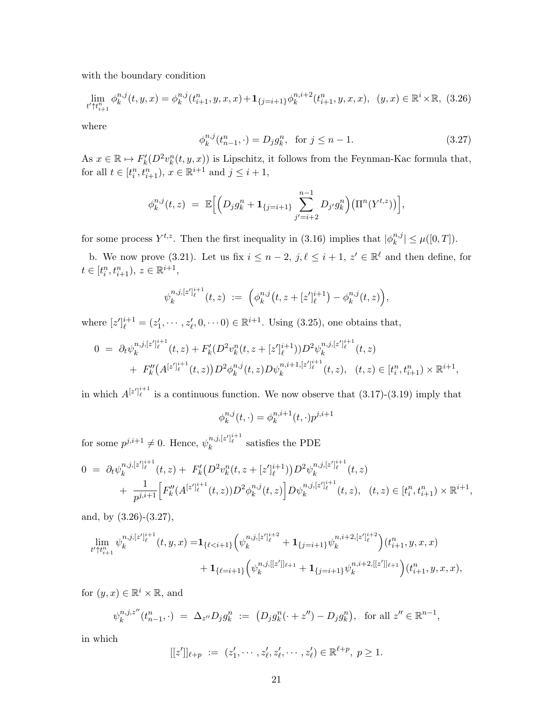with the boundary condition

$$
\lim_{t'\uparrow t_{i+1}^n} \phi_k^{n,j}(t,y,x) = \phi_k^{n,j}(t_{i+1}^n, y, x, x) + \mathbf{1}_{\{j=i+1\}} \phi_k^{n,i+2}(t_{i+1}^n, y, x, x), \ (y,x) \in \mathbb{R}^i \times \mathbb{R}, \ (3.26)
$$

where

$$
\phi_k^{n,j}(t_{n-1}^n, \cdot) = D_j g_k^n, \text{ for } j \le n - 1.
$$
 (3.27)

As  $x \in \mathbb{R} \mapsto F'_{k}(D^{2}v_{k}^{n}(t, y, x))$  is Lipschitz, it follows from the Feynman-Kac formula that, for all  $t \in [t_i^n, t_{i+1}^n), x \in \mathbb{R}^{i+1}$  and  $j \le i+1$ ,

$$
\phi_k^{n,j}(t,z) = \mathbb{E}\Big[\Big(D_j g_k^n + \mathbf{1}_{\{j=i+1\}} \sum_{j'=i+2}^{n-1} D_{j'} g_k^n \Big) \big(\Pi^n(Y^{t,z})\big)\Big],
$$

for some process  $Y^{t,z}$ . Then the first inequality in (3.16) implies that  $|\phi_k^{n,j}|$  $|_{k}^{n,j}| \leq \mu([0,T]).$ 

b. We now prove (3.21). Let us fix  $i \leq n-2$ ,  $j, \ell \leq i+1$ ,  $z' \in \mathbb{R}^{\ell}$  and then define, for  $t \in [t_i^n, t_{i+1}^n), \, z \in \mathbb{R}^{i+1},$ 

$$
\psi_k^{n,j,[z']_{\ell}^{i+1}}(t,z) := \left(\phi_k^{n,j}\big(t,z+ [z']_{\ell}^{i+1}\big) - \phi_k^{n,j}(t,z)\right),
$$

where  $[z']_{\ell}^{i+1} = (z'_1, \dots, z'_{\ell}, 0, \dots 0) \in \mathbb{R}^{i+1}$ . Using (3.25), one obtains that,

$$
0 = \partial_t \psi_k^{n,j,[z']_{\ell}^{i+1}}(t,z) + F'_k (D^2 v_k^n(t,z + [z']_{\ell}^{i+1})) D^2 \psi_k^{n,j,[z']_{\ell}^{i+1}}(t,z)
$$
  
+  $F''_k (A^{[z']_{\ell}^{i+1}}(t,z)) D^2 \phi_k^{n,j}(t,z) D \psi_k^{n,i+1,[z']_{\ell}^{i+1}}(t,z), \quad (t,z) \in [t_i^n, t_{i+1}^n) \times \mathbb{R}^{i+1},$ 

in which  $A^{[z']_{\ell}^{i+1}}$  is a continuous function. We now observe that (3.17)-(3.19) imply that

$$
\phi_k^{n,j}(t,\cdot) = \phi_k^{n,i+1}(t,\cdot)p^{j,i+1}
$$

for some  $p^{j,i+1} \neq 0$ . Hence,  $\psi_k^{n,j,[z']_{\ell}^{i+1}}$  satisfies the PDE

$$
0 = \partial_t \psi_k^{n,j,[z']_{\ell}^{i+1}}(t,z) + F'_k(D^2 v_k^n(t,z+[z']_{\ell}^{i+1}))D^2 \psi_k^{n,j,[z']_{\ell}^{i+1}}(t,z) + \frac{1}{p^{j,i+1}} \Big[ F''_k(A^{[z']_{\ell}^{i+1}}(t,z))D^2 \phi_k^{n,j}(t,z) \Big] D \psi_k^{n,j,[z']_{\ell}^{i+1}}(t,z), \quad (t,z) \in [t_i^n, t_{i+1}^n) \times \mathbb{R}^{i+1},
$$

and, by (3.26)-(3.27),

$$
\lim_{t'\uparrow t_{i+1}^n} \psi_k^{n,j,[z']_{\ell}^{i+1}}(t,y,x) = \mathbf{1}_{\{\ell < i+1\}} \Big( \psi_k^{n,j,[z']_{\ell}^{i+2}} + \mathbf{1}_{\{j=i+1\}} \psi_k^{n,i+2,[z']_{\ell}^{i+2}} \Big) (t_{i+1}^n, y, x, x) + \mathbf{1}_{\{\ell = i+1\}} \Big( \psi_k^{n,j,[[z']]_{\ell+1}} + \mathbf{1}_{\{j=i+1\}} \psi_k^{n,i+2,[[z']]_{\ell+1}} \Big) (t_{i+1}^n, y, x, x),
$$

for  $(y, x) \in \mathbb{R}^i \times \mathbb{R}$ , and

$$
\psi_k^{n,j,z''}(t_{n-1}^n, \cdot) = \Delta_{z''} D_j g_k^n := (D_j g_k^n(\cdot + z'') - D_j g_k^n), \text{ for all } z'' \in \mathbb{R}^{n-1},
$$

in which

$$
[[z']]_{\ell+p} := (z'_1, \cdots, z'_\ell, z'_\ell, \cdots, z'_\ell) \in \mathbb{R}^{\ell+p}, \ p \ge 1.
$$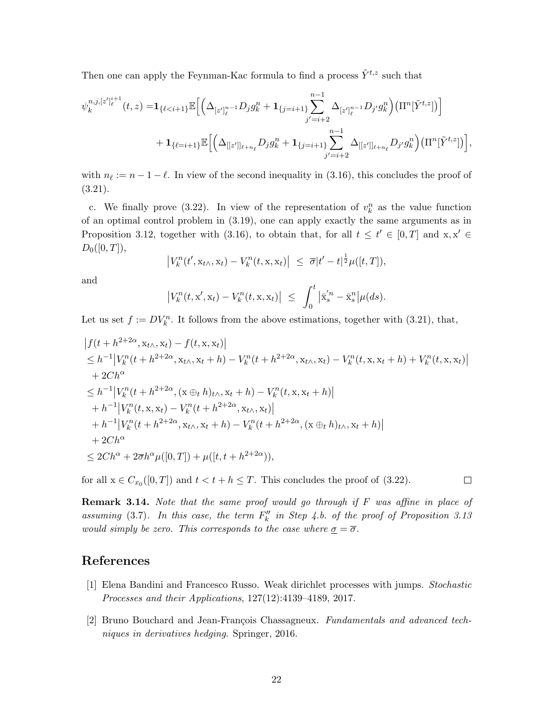Then one can apply the Feynman-Kac formula to find a process  $\tilde{Y}^{t,z}$  such that

$$
\psi_k^{n,j,[z']_{\ell}^{i+1}}(t,z) = \mathbf{1}_{\{\ell < i+1\}} \mathbb{E}\Big[ \Big( \Delta_{[z']_{\ell}^{n-1}} D_j g_k^n + \mathbf{1}_{\{j=i+1\}} \sum_{j'=i+2}^{n-1} \Delta_{[z']_{\ell}^{n-1}} D_{j'} g_k^n \Big) \big( \Pi^n[\tilde{Y}^{t,z}] \big) \Big] + \mathbf{1}_{\{\ell = i+1\}} \mathbb{E}\Big[ \Big( \Delta_{[[z']]_{\ell+n_{\ell}}} D_j g_k^n + \mathbf{1}_{\{j=i+1\}} \sum_{j'=i+2}^{n-1} \Delta_{[[z']]_{\ell+n_{\ell}}} D_{j'} g_k^n \Big) \big( \Pi^n[\tilde{Y}^{t,z}] \big) \Big],
$$

with  $n_\ell := n - 1 - \ell$ . In view of the second inequality in (3.16), this concludes the proof of (3.21).

c. We finally prove (3.22). In view of the representation of  $v_k^n$  as the value function of an optimal control problem in (3.19), one can apply exactly the same arguments as in Proposition 3.12, together with (3.16), to obtain that, for all  $t \leq t' \in [0, T]$  and  $x, x' \in$  $D_0([0,T]),$ 

$$
\left|V_k^n(t',\mathbf{x}_{t\wedge},\mathbf{x}_t)-V_k^n(t,\mathbf{x},\mathbf{x}_t)\right| \leq \overline{\sigma}|t'-t|^{\frac{1}{2}}\mu([t,T]),
$$

and

$$
\left|V_k^n(t, \mathbf{x}', \mathbf{x}_t) - V_k^n(t, \mathbf{x}, \mathbf{x}_t)\right| \leq \int_0^t \left|\bar{\mathbf{x}}_s'^n - \bar{\mathbf{x}}_s^n\right| \mu(ds).
$$

Let us set  $f := DV_k^n$ . It follows from the above estimations, together with (3.21), that,

$$
|f(t+h^{2+2\alpha}, x_{t\wedge}, x_t) - f(t, x, x_t)|
$$
  
\n
$$
\leq h^{-1} |V_k^n(t+h^{2+2\alpha}, x_{t\wedge}, x_t+h) - V_k^n(t+h^{2+2\alpha}, x_{t\wedge}, x_t) - V_k^n(t, x, x_t+h) + V_k^n(t, x, x_t)|
$$
  
\n+ 2C $h^{\alpha}$   
\n
$$
\leq h^{-1} |V_k^n(t+h^{2+2\alpha}, (x \oplus_t h)_{t\wedge}, x_t+h) - V_k^n(t, x, x_t+h)|
$$
  
\n+  $h^{-1} |V_k^n(t, x, x_t) - V_k^n(t+h^{2+2\alpha}, x_{t\wedge}, x_t)|$   
\n+  $h^{-1} |V_k^n(t+h^{2+2\alpha}, x_{t\wedge}, x_t+h) - V_k^n(t+h^{2+2\alpha}, (x \oplus_t h)_{t\wedge}, x_t+h)|$   
\n+ 2C $h^{\alpha}$   
\n
$$
\leq 2Ch^{\alpha} + 2\overline{\sigma}h^{\alpha}\mu([0, T]) + \mu([t, t+h^{2+2\alpha})),
$$

for all  $x \in C_{x_0}([0, T])$  and  $t < t + h \leq T$ . This concludes the proof of (3.22).

**Remark 3.14.** Note that the same proof would go through if  $F$  was affine in place of assuming (3.7). In this case, the term  $F''_k$  in Step 4.b. of the proof of Proposition 3.13 would simply be zero. This corresponds to the case where  $\sigma = \overline{\sigma}$ .

 $\Box$ 

## References

- [1] Elena Bandini and Francesco Russo. Weak dirichlet processes with jumps. Stochastic Processes and their Applications, 127(12):4139–4189, 2017.
- [2] Bruno Bouchard and Jean-François Chassagneux. Fundamentals and advanced techniques in derivatives hedging. Springer, 2016.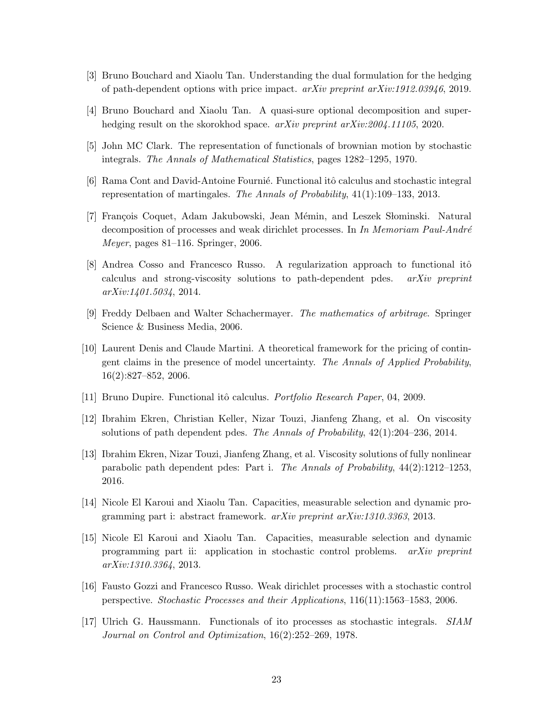- [3] Bruno Bouchard and Xiaolu Tan. Understanding the dual formulation for the hedging of path-dependent options with price impact. arXiv preprint arXiv:1912.03946, 2019.
- [4] Bruno Bouchard and Xiaolu Tan. A quasi-sure optional decomposition and superhedging result on the skorokhod space. arXiv preprint arXiv:2004.11105, 2020.
- [5] John MC Clark. The representation of functionals of brownian motion by stochastic integrals. The Annals of Mathematical Statistics, pages 1282–1295, 1970.
- [6] Rama Cont and David-Antoine Fournie. Functional itô calculus and stochastic integral representation of martingales. The Annals of Probability, 41(1):109–133, 2013.
- [7] François Coquet, Adam Jakubowski, Jean Mémin, and Leszek Słominski. Natural decomposition of processes and weak dirichlet processes. In In Memoriam Paul-André Meyer, pages 81–116. Springer, 2006.
- [8] Andrea Cosso and Francesco Russo. A regularization approach to functional itô calculus and strong-viscosity solutions to path-dependent pdes. arXiv preprint arXiv:1401.5034, 2014.
- [9] Freddy Delbaen and Walter Schachermayer. The mathematics of arbitrage. Springer Science & Business Media, 2006.
- [10] Laurent Denis and Claude Martini. A theoretical framework for the pricing of contingent claims in the presence of model uncertainty. The Annals of Applied Probability, 16(2):827–852, 2006.
- [11] Bruno Dupire. Functional itô calculus. *Portfolio Research Paper*, 04, 2009.
- [12] Ibrahim Ekren, Christian Keller, Nizar Touzi, Jianfeng Zhang, et al. On viscosity solutions of path dependent pdes. The Annals of Probability, 42(1):204–236, 2014.
- [13] Ibrahim Ekren, Nizar Touzi, Jianfeng Zhang, et al. Viscosity solutions of fully nonlinear parabolic path dependent pdes: Part i. The Annals of Probability, 44(2):1212–1253, 2016.
- [14] Nicole El Karoui and Xiaolu Tan. Capacities, measurable selection and dynamic programming part i: abstract framework. arXiv preprint arXiv:1310.3363, 2013.
- [15] Nicole El Karoui and Xiaolu Tan. Capacities, measurable selection and dynamic programming part ii: application in stochastic control problems. arXiv preprint arXiv:1310.3364, 2013.
- [16] Fausto Gozzi and Francesco Russo. Weak dirichlet processes with a stochastic control perspective. Stochastic Processes and their Applications, 116(11):1563–1583, 2006.
- [17] Ulrich G. Haussmann. Functionals of ito processes as stochastic integrals. SIAM Journal on Control and Optimization, 16(2):252–269, 1978.